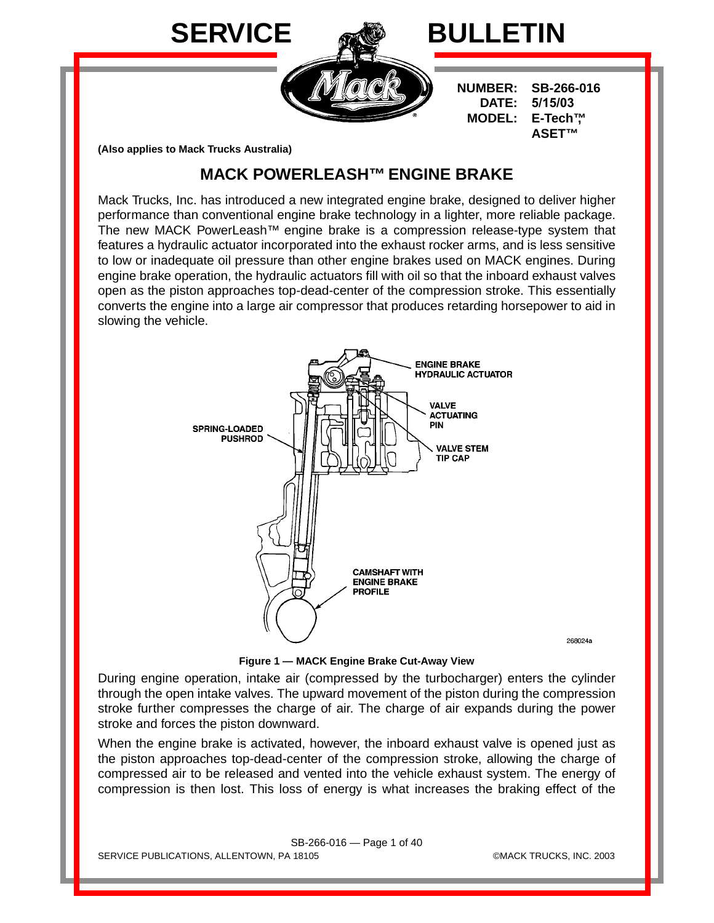

**(Also applies to Mack Trucks Australia)**

# **MACK POWERLEASH™ ENGINE BRAKE**

Mack Trucks, Inc. has introduced a new integrated engine brake, designed to deliver higher performance than conventional engine brake technology in a lighter, more reliable package. The new MACK PowerLeash™ engine brake is a compression release-type system that features a hydraulic actuator incorporated into the exhaust rocker arms, and is less sensitive to low or inadequate oil pressure than other engine brakes used on MACK engines. During engine brake operation, the hydraulic actuators fill with oil so that the inboard exhaust valves open as the piston approaches top-dead-center of the compression stroke. This essentially converts the engine into a large air compressor that produces retarding horsepower to aid in slowing the vehicle.



**Figure 1 — MACK Engine Brake Cut-Away View**

During engine operation, intake air (compressed by the turbocharger) enters the cylinder through the open intake valves. The upward movement of the piston during the compression stroke further compresses the charge of air. The charge of air expands during the power stroke and forces the piston downward.

When the engine brake is activated, however, the inboard exhaust valve is opened just as the piston approaches top-dead-center of the compression stroke, allowing the charge of compressed air to be released and vented into the vehicle exhaust system. The energy of compression is then lost. This loss of energy is what increases the braking effect of the

SB-266-016 — Page 1 of 40 SERVICE PUBLICATIONS, ALLENTOWN, PA 18105 ©MACK TRUCKS, INC. 2003

268024a

**ASET™**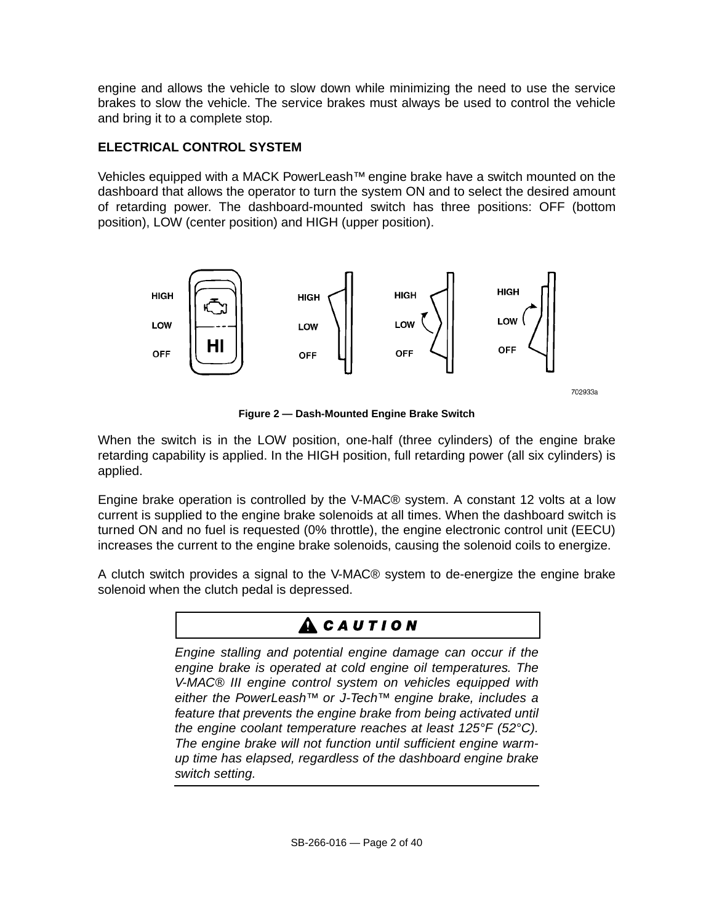engine and allows the vehicle to slow down while minimizing the need to use the service brakes to slow the vehicle. The service brakes must always be used to control the vehicle and bring it to a complete stop.

### **ELECTRICAL CONTROL SYSTEM**

Vehicles equipped with a MACK PowerLeash™ engine brake have a switch mounted on the dashboard that allows the operator to turn the system ON and to select the desired amount of retarding power. The dashboard-mounted switch has three positions: OFF (bottom position), LOW (center position) and HIGH (upper position).



702933a

**Figure 2 — Dash-Mounted Engine Brake Switch**

When the switch is in the LOW position, one-half (three cylinders) of the engine brake retarding capability is applied. In the HIGH position, full retarding power (all six cylinders) is applied.

Engine brake operation is controlled by the V-MAC® system. A constant 12 volts at a low current is supplied to the engine brake solenoids at all times. When the dashboard switch is turned ON and no fuel is requested (0% throttle), the engine electronic control unit (EECU) increases the current to the engine brake solenoids, causing the solenoid coils to energize.

A clutch switch provides a signal to the V-MAC® system to de-energize the engine brake solenoid when the clutch pedal is depressed.

# **ACAUTION**

Engine stalling and potential engine damage can occur if the engine brake is operated at cold engine oil temperatures. The V-MAC® III engine control system on vehicles equipped with either the PowerLeash™ or J-Tech™ engine brake, includes a feature that prevents the engine brake from being activated until the engine coolant temperature reaches at least 125°F (52°C). The engine brake will not function until sufficient engine warmup time has elapsed, regardless of the dashboard engine brake switch setting.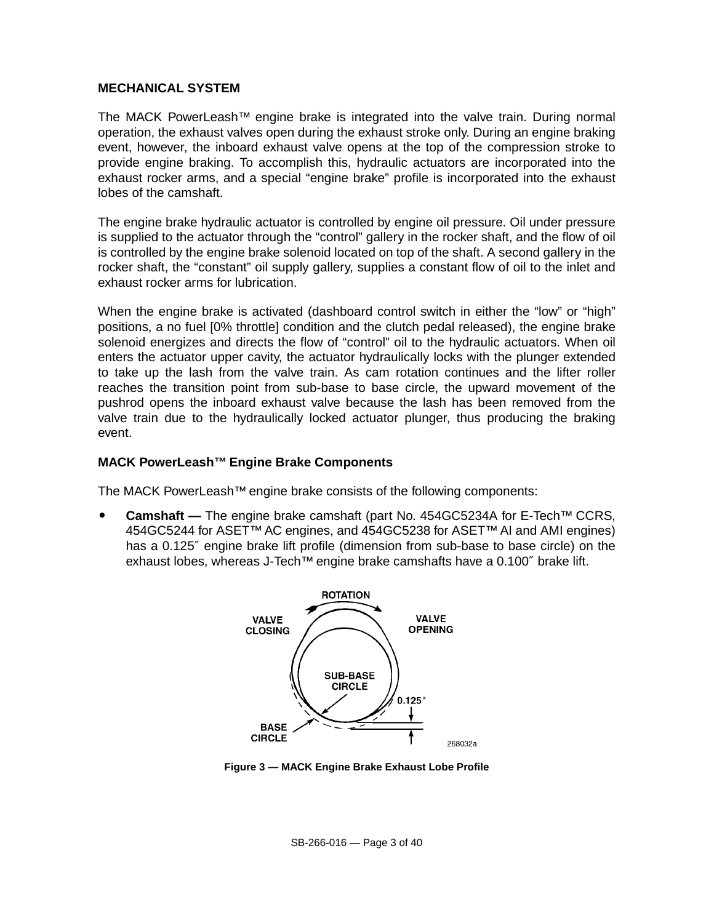#### **MECHANICAL SYSTEM**

The MACK PowerLeash™ engine brake is integrated into the valve train. During normal operation, the exhaust valves open during the exhaust stroke only. During an engine braking event, however, the inboard exhaust valve opens at the top of the compression stroke to provide engine braking. To accomplish this, hydraulic actuators are incorporated into the exhaust rocker arms, and a special "engine brake" profile is incorporated into the exhaust lobes of the camshaft.

The engine brake hydraulic actuator is controlled by engine oil pressure. Oil under pressure is supplied to the actuator through the "control" gallery in the rocker shaft, and the flow of oil is controlled by the engine brake solenoid located on top of the shaft. A second gallery in the rocker shaft, the "constant" oil supply gallery, supplies a constant flow of oil to the inlet and exhaust rocker arms for lubrication.

When the engine brake is activated (dashboard control switch in either the "low" or "high" positions, a no fuel [0% throttle] condition and the clutch pedal released), the engine brake solenoid energizes and directs the flow of "control" oil to the hydraulic actuators. When oil enters the actuator upper cavity, the actuator hydraulically locks with the plunger extended to take up the lash from the valve train. As cam rotation continues and the lifter roller reaches the transition point from sub-base to base circle, the upward movement of the pushrod opens the inboard exhaust valve because the lash has been removed from the valve train due to the hydraulically locked actuator plunger, thus producing the braking event.

#### **MACK PowerLeash™ Engine Brake Components**

The MACK PowerLeash™ engine brake consists of the following components:

 **Camshaft —** The engine brake camshaft (part No. 454GC5234A for E-Tech™ CCRS, 454GC5244 for ASET™ AC engines, and 454GC5238 for ASET™ AI and AMI engines) has a 0.125″ engine brake lift profile (dimension from sub-base to base circle) on the exhaust lobes, whereas J-Tech™ engine brake camshafts have a 0.100" brake lift.



**Figure 3 — MACK Engine Brake Exhaust Lobe Profile**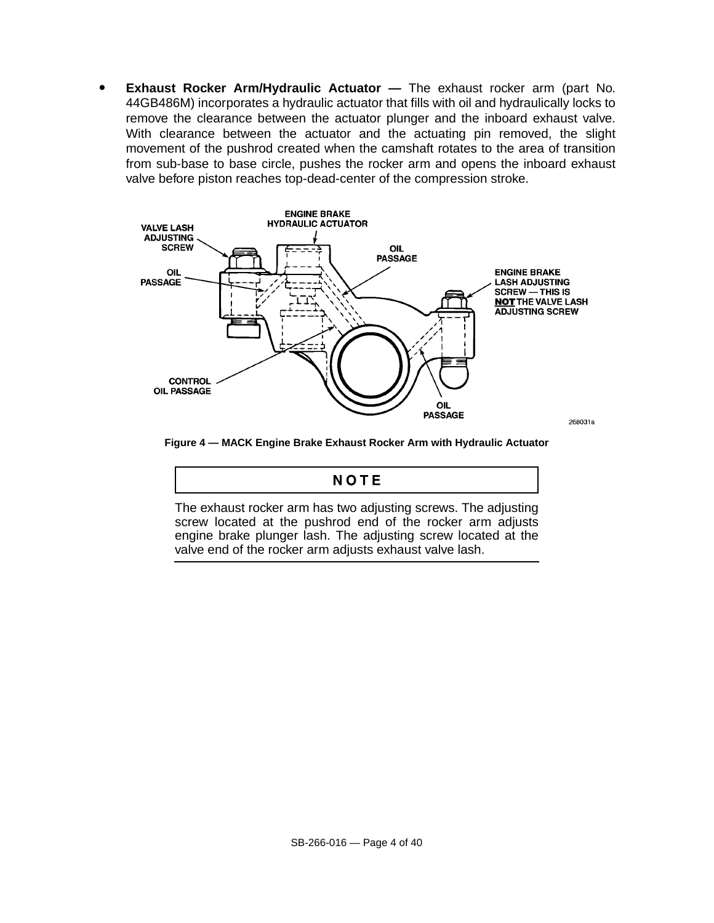**Exhaust Rocker Arm/Hydraulic Actuator —** The exhaust rocker arm (part No. 44GB486M) incorporates a hydraulic actuator that fills with oil and hydraulically locks to remove the clearance between the actuator plunger and the inboard exhaust valve. With clearance between the actuator and the actuating pin removed, the slight movement of the pushrod created when the camshaft rotates to the area of transition from sub-base to base circle, pushes the rocker arm and opens the inboard exhaust valve before piston reaches top-dead-center of the compression stroke.



268031a

**Figure 4 — MACK Engine Brake Exhaust Rocker Arm with Hydraulic Actuator**

### NOTE

The exhaust rocker arm has two adjusting screws. The adjusting screw located at the pushrod end of the rocker arm adjusts engine brake plunger lash. The adjusting screw located at the valve end of the rocker arm adjusts exhaust valve lash.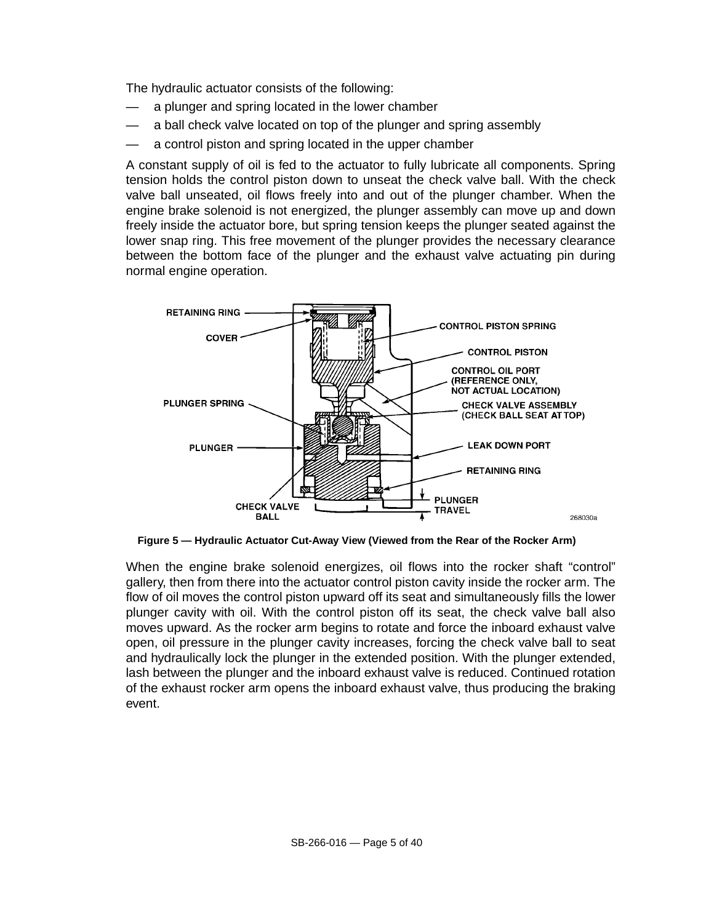The hydraulic actuator consists of the following:

- a plunger and spring located in the lower chamber
- a ball check valve located on top of the plunger and spring assembly
- a control piston and spring located in the upper chamber

A constant supply of oil is fed to the actuator to fully lubricate all components. Spring tension holds the control piston down to unseat the check valve ball. With the check valve ball unseated, oil flows freely into and out of the plunger chamber. When the engine brake solenoid is not energized, the plunger assembly can move up and down freely inside the actuator bore, but spring tension keeps the plunger seated against the lower snap ring. This free movement of the plunger provides the necessary clearance between the bottom face of the plunger and the exhaust valve actuating pin during normal engine operation.



**Figure 5 — Hydraulic Actuator Cut-Away View (Viewed from the Rear of the Rocker Arm)**

When the engine brake solenoid energizes, oil flows into the rocker shaft "control" gallery, then from there into the actuator control piston cavity inside the rocker arm. The flow of oil moves the control piston upward off its seat and simultaneously fills the lower plunger cavity with oil. With the control piston off its seat, the check valve ball also moves upward. As the rocker arm begins to rotate and force the inboard exhaust valve open, oil pressure in the plunger cavity increases, forcing the check valve ball to seat and hydraulically lock the plunger in the extended position. With the plunger extended, lash between the plunger and the inboard exhaust valve is reduced. Continued rotation of the exhaust rocker arm opens the inboard exhaust valve, thus producing the braking event.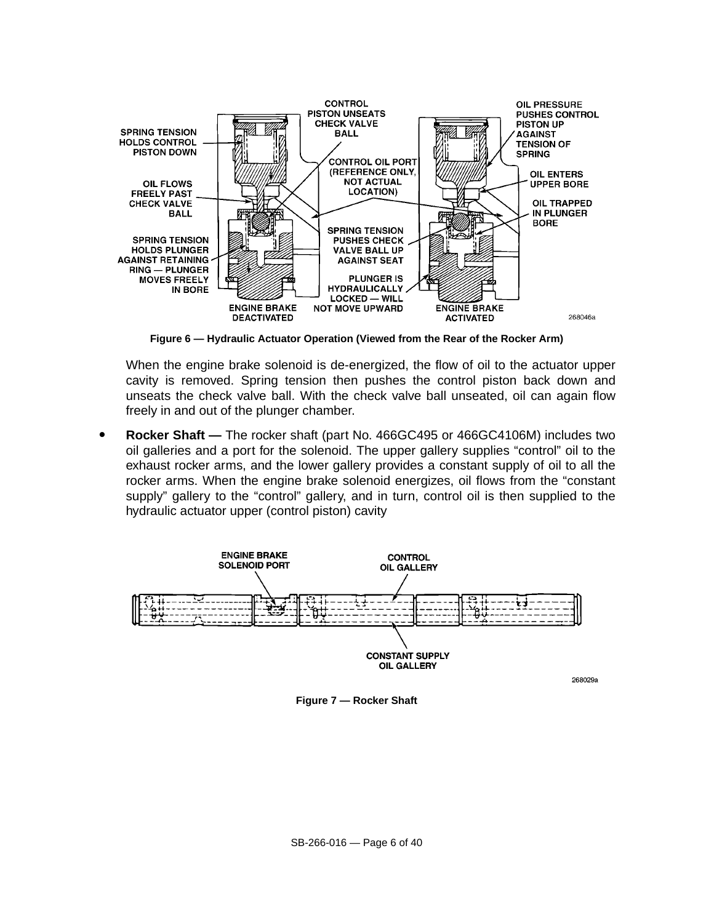

**Figure 6 — Hydraulic Actuator Operation (Viewed from the Rear of the Rocker Arm)**

When the engine brake solenoid is de-energized, the flow of oil to the actuator upper cavity is removed. Spring tension then pushes the control piston back down and unseats the check valve ball. With the check valve ball unseated, oil can again flow freely in and out of the plunger chamber.

 **Rocker Shaft —** The rocker shaft (part No. 466GC495 or 466GC4106M) includes two oil galleries and a port for the solenoid. The upper gallery supplies "control" oil to the exhaust rocker arms, and the lower gallery provides a constant supply of oil to all the rocker arms. When the engine brake solenoid energizes, oil flows from the "constant supply" gallery to the "control" gallery, and in turn, control oil is then supplied to the hydraulic actuator upper (control piston) cavity



**Figure 7 — Rocker Shaft**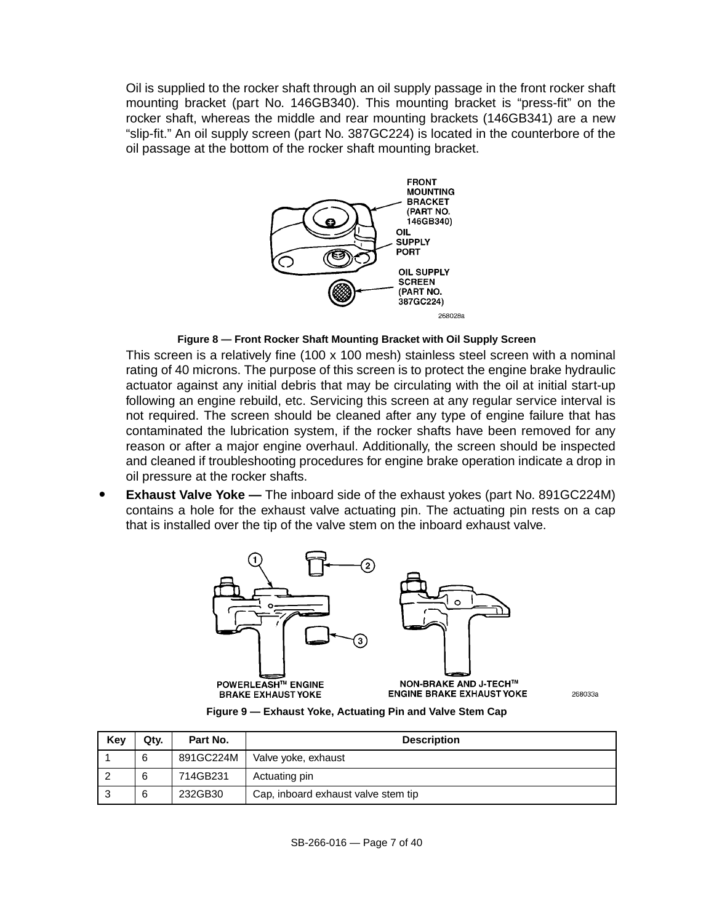Oil is supplied to the rocker shaft through an oil supply passage in the front rocker shaft mounting bracket (part No. 146GB340). This mounting bracket is "press-fit" on the rocker shaft, whereas the middle and rear mounting brackets (146GB341) are a new "slip-fit." An oil supply screen (part No. 387GC224) is located in the counterbore of the oil passage at the bottom of the rocker shaft mounting bracket.



**Figure 8 — Front Rocker Shaft Mounting Bracket with Oil Supply Screen**

This screen is a relatively fine (100 x 100 mesh) stainless steel screen with a nominal rating of 40 microns. The purpose of this screen is to protect the engine brake hydraulic actuator against any initial debris that may be circulating with the oil at initial start-up following an engine rebuild, etc. Servicing this screen at any regular service interval is not required. The screen should be cleaned after any type of engine failure that has contaminated the lubrication system, if the rocker shafts have been removed for any reason or after a major engine overhaul. Additionally, the screen should be inspected and cleaned if troubleshooting procedures for engine brake operation indicate a drop in oil pressure at the rocker shafts.

 **Exhaust Valve Yoke —** The inboard side of the exhaust yokes (part No. 891GC224M) contains a hole for the exhaust valve actuating pin. The actuating pin rests on a cap that is installed over the tip of the valve stem on the inboard exhaust valve.



268033a

**Figure 9 — Exhaust Yoke, Actuating Pin and Valve Stem Cap**

| Key | Qtv. | Part No.  | <b>Description</b>                  |
|-----|------|-----------|-------------------------------------|
|     | 6    | 891GC224M | Valve yoke, exhaust                 |
|     | 6    | 714GB231  | Actuating pin                       |
|     | 6    | 232GB30   | Cap, inboard exhaust valve stem tip |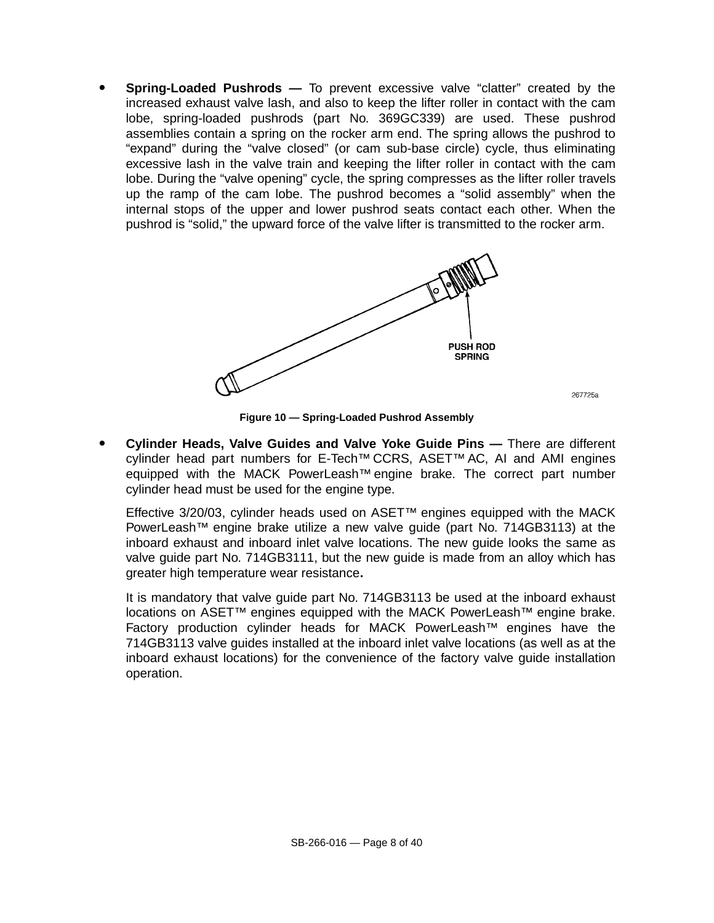**Spring-Loaded Pushrods —** To prevent excessive valve "clatter" created by the increased exhaust valve lash, and also to keep the lifter roller in contact with the cam lobe, spring-loaded pushrods (part No. 369GC339) are used. These pushrod assemblies contain a spring on the rocker arm end. The spring allows the pushrod to "expand" during the "valve closed" (or cam sub-base circle) cycle, thus eliminating excessive lash in the valve train and keeping the lifter roller in contact with the cam lobe. During the "valve opening" cycle, the spring compresses as the lifter roller travels up the ramp of the cam lobe. The pushrod becomes a "solid assembly" when the internal stops of the upper and lower pushrod seats contact each other. When the pushrod is "solid," the upward force of the valve lifter is transmitted to the rocker arm.



**Figure 10 — Spring-Loaded Pushrod Assembly**

267725a

 **Cylinder Heads, Valve Guides and Valve Yoke Guide Pins —** There are different cylinder head part numbers for E-Tech™ CCRS, ASET™ AC, AI and AMI engines equipped with the MACK PowerLeash<sup>™</sup> engine brake. The correct part number cylinder head must be used for the engine type.

Effective 3/20/03, cylinder heads used on ASET™ engines equipped with the MACK PowerLeash™ engine brake utilize a new valve guide (part No. 714GB3113) at the inboard exhaust and inboard inlet valve locations. The new guide looks the same as valve guide part No. 714GB3111, but the new guide is made from an alloy which has greater high temperature wear resistance**.**

It is mandatory that valve guide part No. 714GB3113 be used at the inboard exhaust locations on ASET™ engines equipped with the MACK PowerLeash™ engine brake. Factory production cylinder heads for MACK PowerLeash™ engines have the 714GB3113 valve guides installed at the inboard inlet valve locations (as well as at the inboard exhaust locations) for the convenience of the factory valve guide installation operation.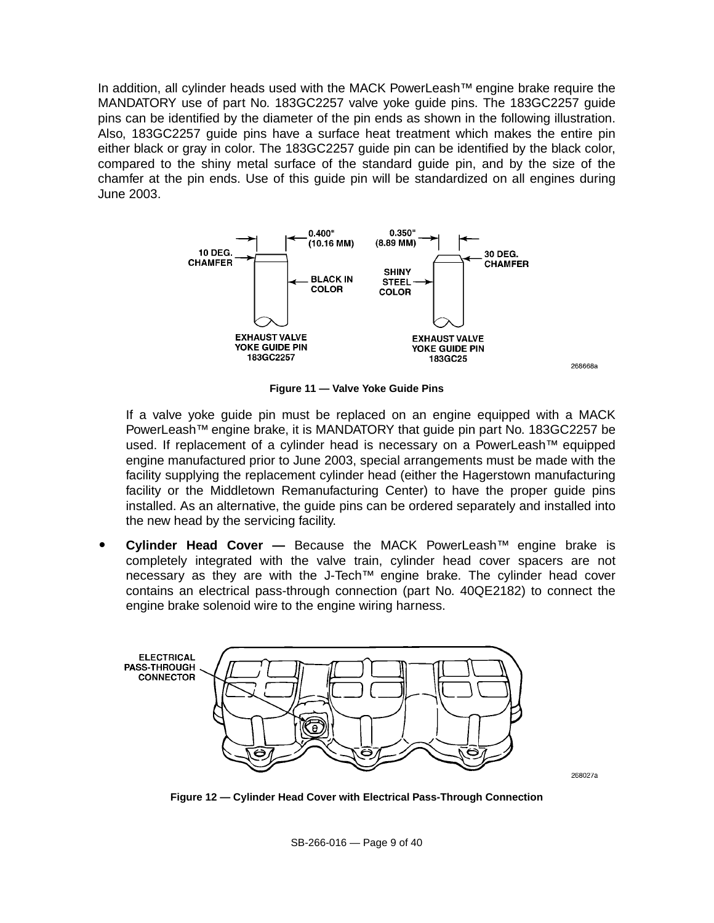In addition, all cylinder heads used with the MACK PowerLeash™ engine brake require the MANDATORY use of part No. 183GC2257 valve yoke guide pins. The 183GC2257 guide pins can be identified by the diameter of the pin ends as shown in the following illustration. Also, 183GC2257 guide pins have a surface heat treatment which makes the entire pin either black or gray in color. The 183GC2257 guide pin can be identified by the black color, compared to the shiny metal surface of the standard guide pin, and by the size of the chamfer at the pin ends. Use of this guide pin will be standardized on all engines during June 2003.



**Figure 11 — Valve Yoke Guide Pins**

If a valve yoke guide pin must be replaced on an engine equipped with a MACK PowerLeash™ engine brake, it is MANDATORY that guide pin part No. 183GC2257 be used. If replacement of a cylinder head is necessary on a PowerLeash™ equipped engine manufactured prior to June 2003, special arrangements must be made with the facility supplying the replacement cylinder head (either the Hagerstown manufacturing facility or the Middletown Remanufacturing Center) to have the proper guide pins installed. As an alternative, the guide pins can be ordered separately and installed into the new head by the servicing facility.

 **Cylinder Head Cover —** Because the MACK PowerLeash™ engine brake is completely integrated with the valve train, cylinder head cover spacers are not necessary as they are with the J-Tech<sup>™</sup> engine brake. The cylinder head cover contains an electrical pass-through connection (part No. 40QE2182) to connect the engine brake solenoid wire to the engine wiring harness.



**Figure 12 — Cylinder Head Cover with Electrical Pass-Through Connection**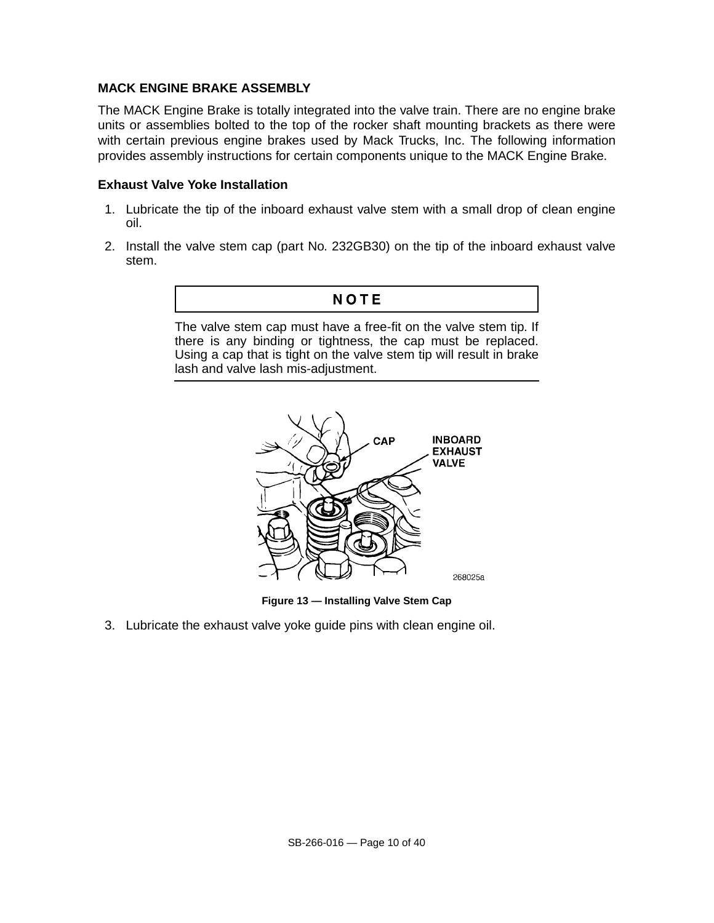### **MACK ENGINE BRAKE ASSEMBLY**

The MACK Engine Brake is totally integrated into the valve train. There are no engine brake units or assemblies bolted to the top of the rocker shaft mounting brackets as there were with certain previous engine brakes used by Mack Trucks, Inc. The following information provides assembly instructions for certain components unique to the MACK Engine Brake.

#### **Exhaust Valve Yoke Installation**

- 1. Lubricate the tip of the inboard exhaust valve stem with a small drop of clean engine oil.
- 2. Install the valve stem cap (part No. 232GB30) on the tip of the inboard exhaust valve stem.



The valve stem cap must have a free-fit on the valve stem tip. If there is any binding or tightness, the cap must be replaced. Using a cap that is tight on the valve stem tip will result in brake lash and valve lash mis-adjustment.



**Figure 13 — Installing Valve Stem Cap**

3. Lubricate the exhaust valve yoke guide pins with clean engine oil.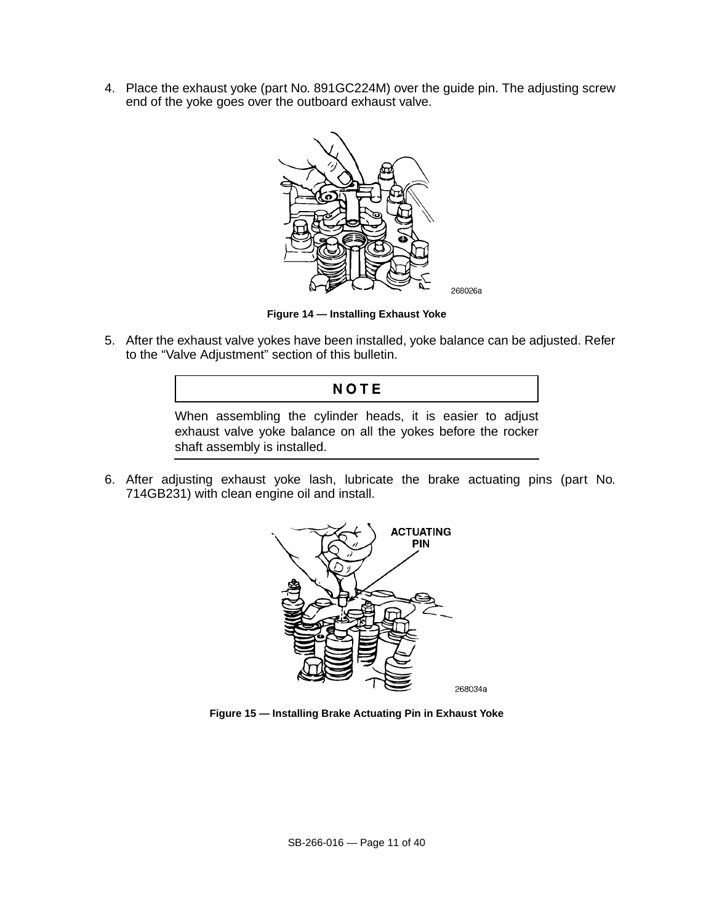4. Place the exhaust yoke (part No. 891GC224M) over the guide pin. The adjusting screw end of the yoke goes over the outboard exhaust valve.



**Figure 14 — Installing Exhaust Yoke**

5. After the exhaust valve yokes have been installed, yoke balance can be adjusted. Refer to the "Valve Adjustment" section of this bulletin.

### **NOTE**

When assembling the cylinder heads, it is easier to adjust exhaust valve yoke balance on all the yokes before the rocker shaft assembly is installed.

6. After adjusting exhaust yoke lash, lubricate the brake actuating pins (part No. 714GB231) with clean engine oil and install.



**Figure 15 — Installing Brake Actuating Pin in Exhaust Yoke**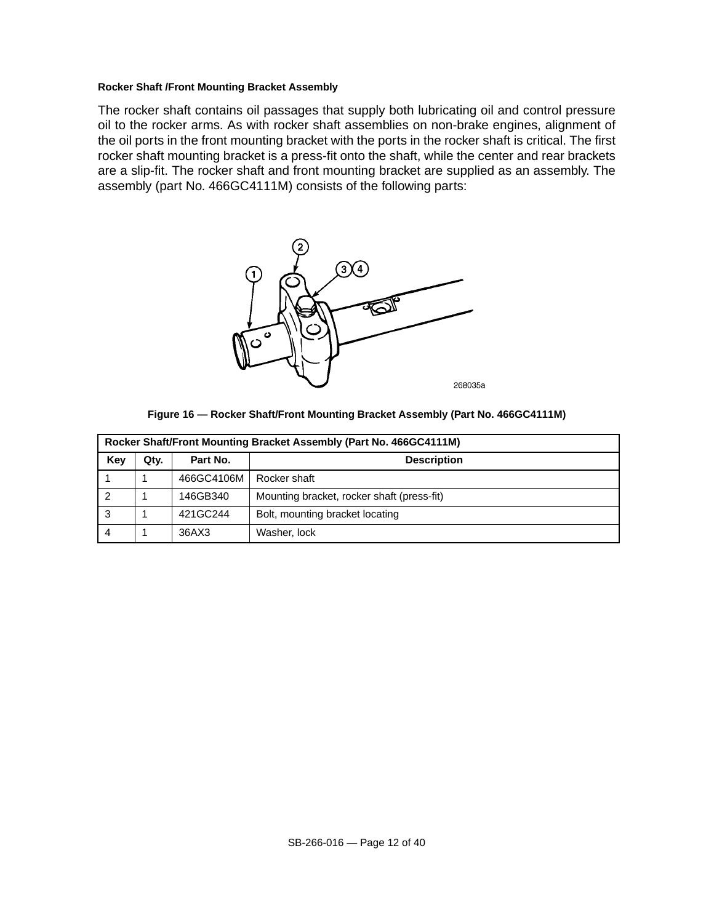#### **Rocker Shaft /Front Mounting Bracket Assembly**

The rocker shaft contains oil passages that supply both lubricating oil and control pressure oil to the rocker arms. As with rocker shaft assemblies on non-brake engines, alignment of the oil ports in the front mounting bracket with the ports in the rocker shaft is critical. The first rocker shaft mounting bracket is a press-fit onto the shaft, while the center and rear brackets are a slip-fit. The rocker shaft and front mounting bracket are supplied as an assembly. The assembly (part No. 466GC4111M) consists of the following parts:





| Rocker Shaft/Front Mounting Bracket Assembly (Part No. 466GC4111M) |      |            |                                            |  |  |
|--------------------------------------------------------------------|------|------------|--------------------------------------------|--|--|
| Key                                                                | Qtv. | Part No.   | <b>Description</b>                         |  |  |
|                                                                    |      | 466GC4106M | Rocker shaft                               |  |  |
|                                                                    |      | 146GB340   | Mounting bracket, rocker shaft (press-fit) |  |  |
| 3                                                                  |      | 421GC244   | Bolt, mounting bracket locating            |  |  |
|                                                                    |      | 36AX3      | Washer, lock                               |  |  |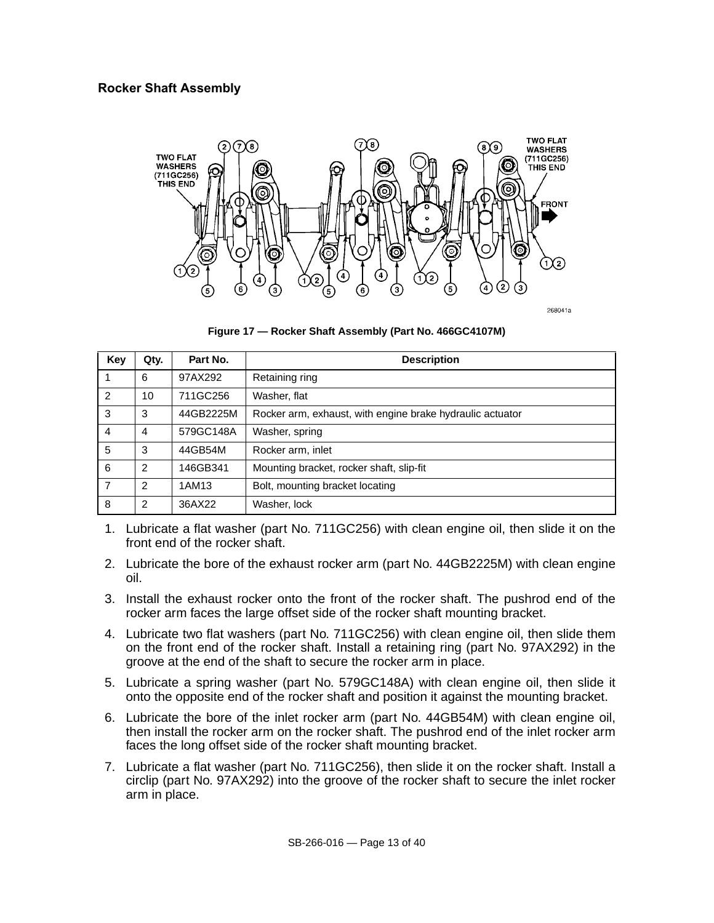### **Rocker Shaft Assembly**



**Figure 17 — Rocker Shaft Assembly (Part No. 466GC4107M)**

| Key            | Qty.           | Part No.  | <b>Description</b>                                        |
|----------------|----------------|-----------|-----------------------------------------------------------|
|                | 6              | 97AX292   | Retaining ring                                            |
| $\mathcal{P}$  | 10             | 711GC256  | Washer, flat                                              |
| 3              | 3              | 44GB2225M | Rocker arm, exhaust, with engine brake hydraulic actuator |
| 4              | $\overline{4}$ | 579GC148A | Washer, spring                                            |
| 5              | 3              | 44GB54M   | Rocker arm, inlet                                         |
| 6              | $\overline{2}$ | 146GB341  | Mounting bracket, rocker shaft, slip-fit                  |
| $\overline{7}$ | 2              | 1AM13     | Bolt, mounting bracket locating                           |
| 8              | 2              | 36AX22    | Washer, lock                                              |

- 1. Lubricate a flat washer (part No. 711GC256) with clean engine oil, then slide it on the front end of the rocker shaft.
- 2. Lubricate the bore of the exhaust rocker arm (part No. 44GB2225M) with clean engine oil.
- 3. Install the exhaust rocker onto the front of the rocker shaft. The pushrod end of the rocker arm faces the large offset side of the rocker shaft mounting bracket.
- 4. Lubricate two flat washers (part No. 711GC256) with clean engine oil, then slide them on the front end of the rocker shaft. Install a retaining ring (part No. 97AX292) in the groove at the end of the shaft to secure the rocker arm in place.
- 5. Lubricate a spring washer (part No. 579GC148A) with clean engine oil, then slide it onto the opposite end of the rocker shaft and position it against the mounting bracket.
- 6. Lubricate the bore of the inlet rocker arm (part No. 44GB54M) with clean engine oil, then install the rocker arm on the rocker shaft. The pushrod end of the inlet rocker arm faces the long offset side of the rocker shaft mounting bracket.
- 7. Lubricate a flat washer (part No. 711GC256), then slide it on the rocker shaft. Install a circlip (part No. 97AX292) into the groove of the rocker shaft to secure the inlet rocker arm in place.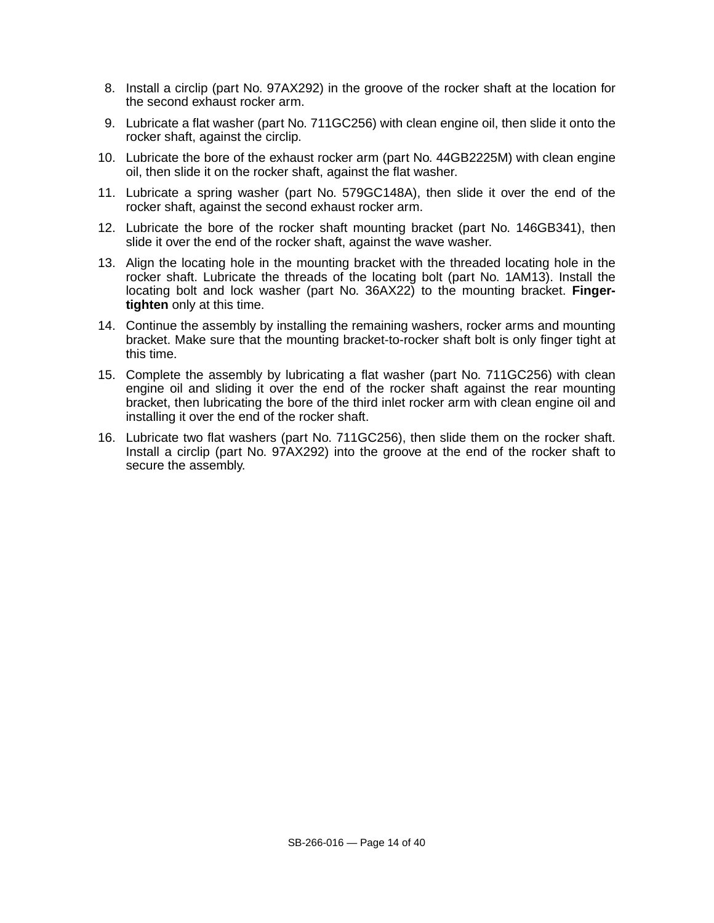- 8. Install a circlip (part No. 97AX292) in the groove of the rocker shaft at the location for the second exhaust rocker arm.
- 9. Lubricate a flat washer (part No. 711GC256) with clean engine oil, then slide it onto the rocker shaft, against the circlip.
- 10. Lubricate the bore of the exhaust rocker arm (part No. 44GB2225M) with clean engine oil, then slide it on the rocker shaft, against the flat washer.
- 11. Lubricate a spring washer (part No. 579GC148A), then slide it over the end of the rocker shaft, against the second exhaust rocker arm.
- 12. Lubricate the bore of the rocker shaft mounting bracket (part No. 146GB341), then slide it over the end of the rocker shaft, against the wave washer.
- 13. Align the locating hole in the mounting bracket with the threaded locating hole in the rocker shaft. Lubricate the threads of the locating bolt (part No. 1AM13). Install the locating bolt and lock washer (part No. 36AX22) to the mounting bracket. **Fingertighten** only at this time.
- 14. Continue the assembly by installing the remaining washers, rocker arms and mounting bracket. Make sure that the mounting bracket-to-rocker shaft bolt is only finger tight at this time.
- 15. Complete the assembly by lubricating a flat washer (part No. 711GC256) with clean engine oil and sliding it over the end of the rocker shaft against the rear mounting bracket, then lubricating the bore of the third inlet rocker arm with clean engine oil and installing it over the end of the rocker shaft.
- 16. Lubricate two flat washers (part No. 711GC256), then slide them on the rocker shaft. Install a circlip (part No. 97AX292) into the groove at the end of the rocker shaft to secure the assembly.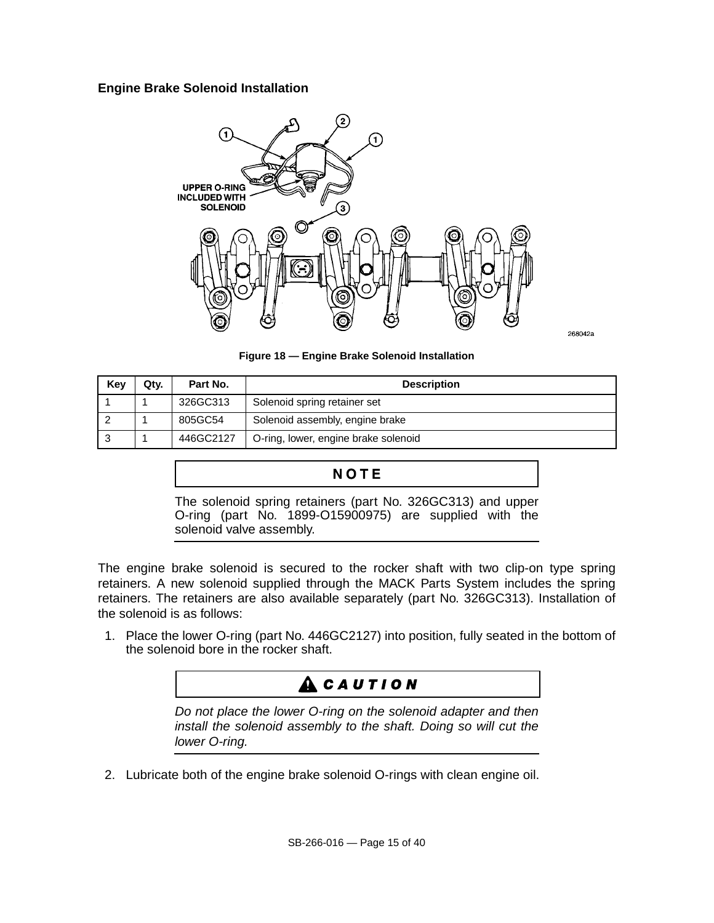#### **Engine Brake Solenoid Installation**



268042a

**Figure 18 — Engine Brake Solenoid Installation**

| Kev | Qtv. | Part No.  | <b>Description</b>                   |
|-----|------|-----------|--------------------------------------|
|     |      | 326GC313  | Solenoid spring retainer set         |
|     |      | 805GC54   | Solenoid assembly, engine brake      |
|     |      | 446GC2127 | O-ring, lower, engine brake solenoid |

## NOTE

The solenoid spring retainers (part No. 326GC313) and upper O-ring (part No. 1899-O15900975) are supplied with the solenoid valve assembly.

The engine brake solenoid is secured to the rocker shaft with two clip-on type spring retainers. A new solenoid supplied through the MACK Parts System includes the spring retainers. The retainers are also available separately (part No. 326GC313). Installation of the solenoid is as follows:

1. Place the lower O-ring (part No. 446GC2127) into position, fully seated in the bottom of the solenoid bore in the rocker shaft.

# **ACAUTION**

Do not place the lower O-ring on the solenoid adapter and then install the solenoid assembly to the shaft. Doing so will cut the lower O-ring.

2. Lubricate both of the engine brake solenoid O-rings with clean engine oil.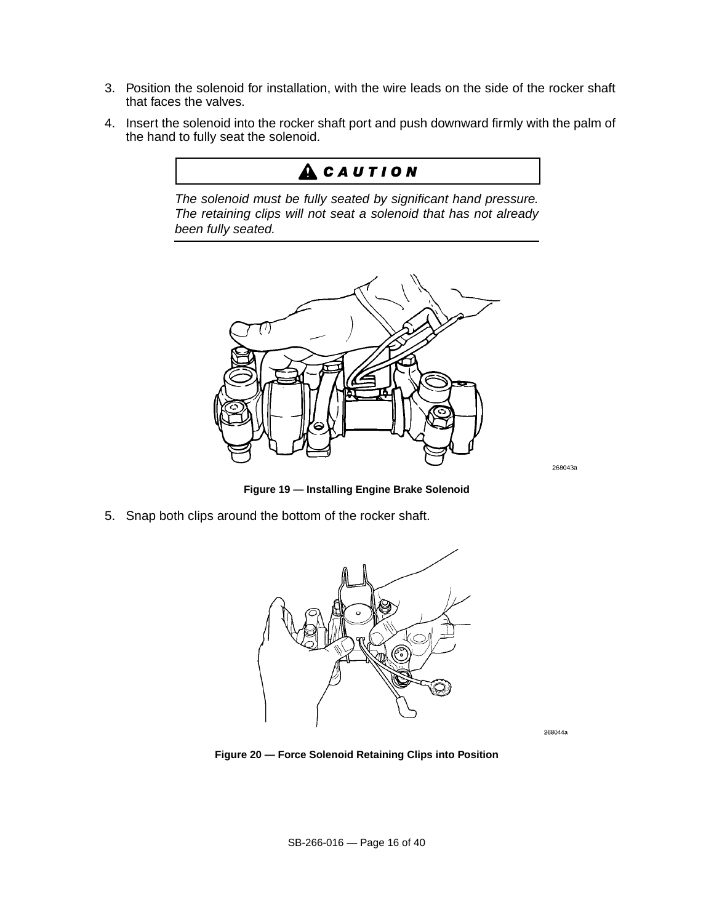- 3. Position the solenoid for installation, with the wire leads on the side of the rocker shaft that faces the valves.
- 4. Insert the solenoid into the rocker shaft port and push downward firmly with the palm of the hand to fully seat the solenoid.

# ACAUTION

The solenoid must be fully seated by significant hand pressure. The retaining clips will not seat a solenoid that has not already been fully seated.



268043a

**Figure 19 — Installing Engine Brake Solenoid**

5. Snap both clips around the bottom of the rocker shaft.



268044a

**Figure 20 — Force Solenoid Retaining Clips into Position**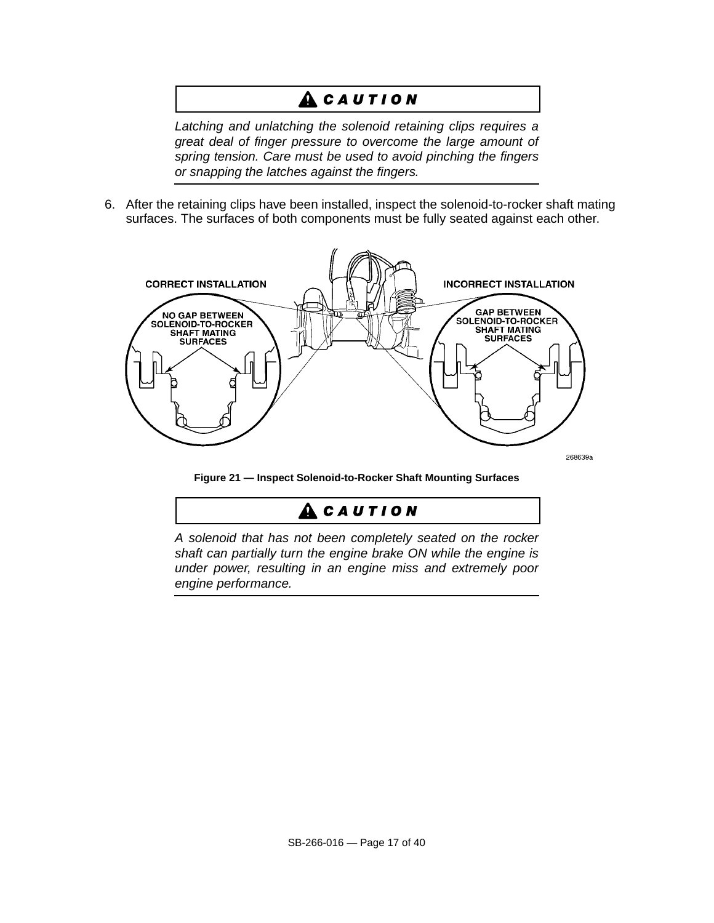# **ACAUTION**

Latching and unlatching the solenoid retaining clips requires a great deal of finger pressure to overcome the large amount of spring tension. Care must be used to avoid pinching the fingers or snapping the latches against the fingers.

6. After the retaining clips have been installed, inspect the solenoid-to-rocker shaft mating surfaces. The surfaces of both components must be fully seated against each other.



**Figure 21 — Inspect Solenoid-to-Rocker Shaft Mounting Surfaces**

# $A$  CAUTION

A solenoid that has not been completely seated on the rocker shaft can partially turn the engine brake ON while the engine is under power, resulting in an engine miss and extremely poor engine performance.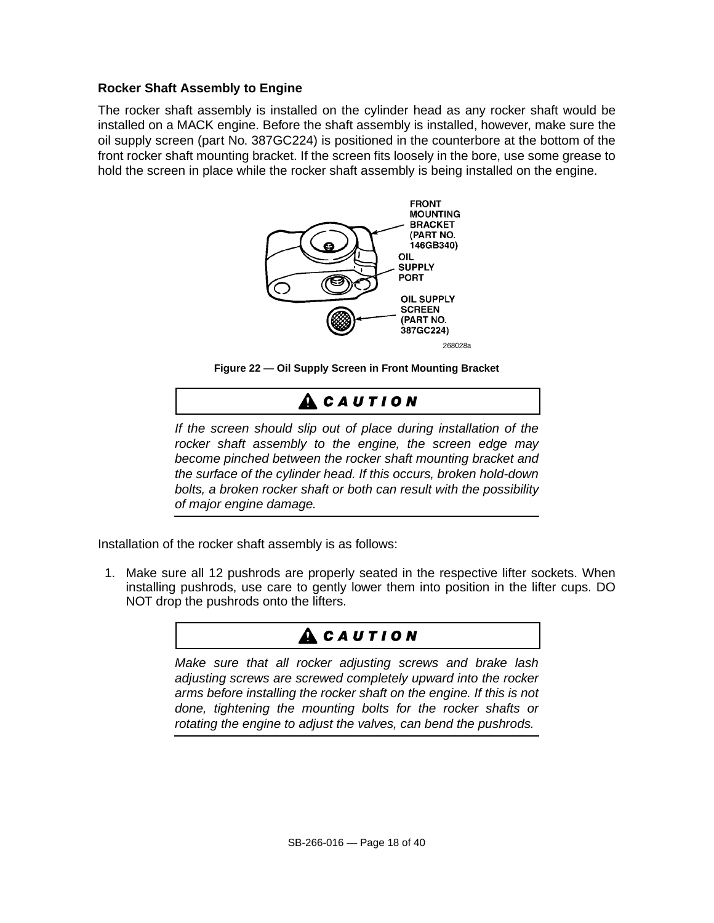### **Rocker Shaft Assembly to Engine**

The rocker shaft assembly is installed on the cylinder head as any rocker shaft would be installed on a MACK engine. Before the shaft assembly is installed, however, make sure the oil supply screen (part No. 387GC224) is positioned in the counterbore at the bottom of the front rocker shaft mounting bracket. If the screen fits loosely in the bore, use some grease to hold the screen in place while the rocker shaft assembly is being installed on the engine.





# **ACAUTION**

If the screen should slip out of place during installation of the rocker shaft assembly to the engine, the screen edge may become pinched between the rocker shaft mounting bracket and the surface of the cylinder head. If this occurs, broken hold-down bolts, a broken rocker shaft or both can result with the possibility of major engine damage.

Installation of the rocker shaft assembly is as follows:

1. Make sure all 12 pushrods are properly seated in the respective lifter sockets. When installing pushrods, use care to gently lower them into position in the lifter cups. DO NOT drop the pushrods onto the lifters.

# **ACAUTION**

Make sure that all rocker adjusting screws and brake lash adjusting screws are screwed completely upward into the rocker arms before installing the rocker shaft on the engine. If this is not done, tightening the mounting bolts for the rocker shafts or rotating the engine to adjust the valves, can bend the pushrods.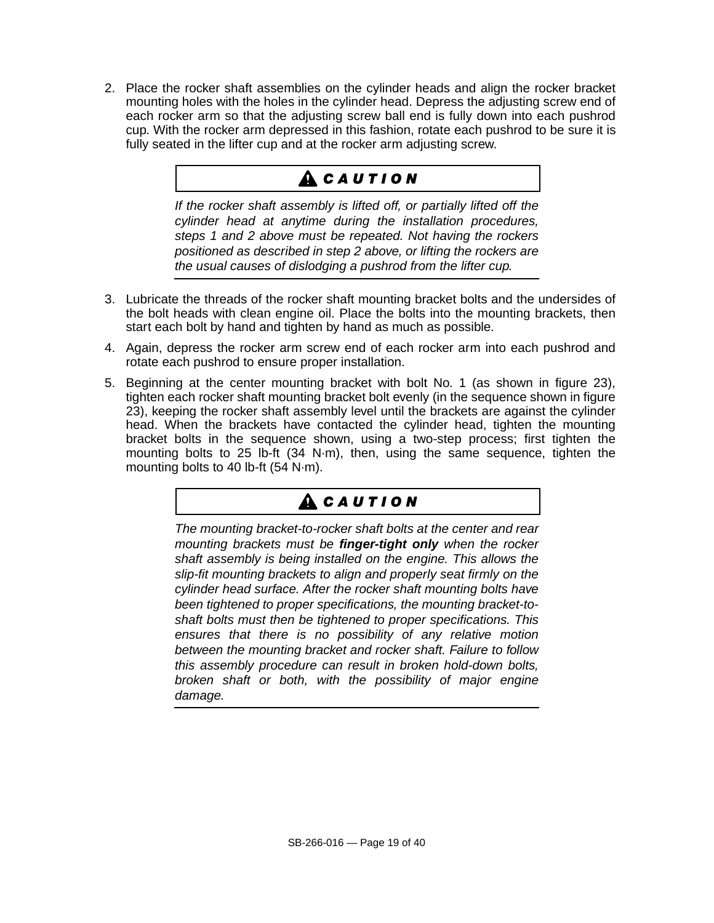2. Place the rocker shaft assemblies on the cylinder heads and align the rocker bracket mounting holes with the holes in the cylinder head. Depress the adjusting screw end of each rocker arm so that the adjusting screw ball end is fully down into each pushrod cup. With the rocker arm depressed in this fashion, rotate each pushrod to be sure it is fully seated in the lifter cup and at the rocker arm adjusting screw.

# ${\bf A}$  CAUTION

If the rocker shaft assembly is lifted off, or partially lifted off the cylinder head at anytime during the installation procedures, steps 1 and 2 above must be repeated. Not having the rockers positioned as described in step 2 above, or lifting the rockers are the usual causes of dislodging a pushrod from the lifter cup.

- 3. Lubricate the threads of the rocker shaft mounting bracket bolts and the undersides of the bolt heads with clean engine oil. Place the bolts into the mounting brackets, then start each bolt by hand and tighten by hand as much as possible.
- 4. Again, depress the rocker arm screw end of each rocker arm into each pushrod and rotate each pushrod to ensure proper installation.
- 5. Beginning at the center mounting bracket with bolt No. 1 (as shown in figure 23), tighten each rocker shaft mounting bracket bolt evenly (in the sequence shown in figure 23), keeping the rocker shaft assembly level until the brackets are against the cylinder head. When the brackets have contacted the cylinder head, tighten the mounting bracket bolts in the sequence shown, using a two-step process; first tighten the mounting bolts to 25 lb-ft (34 N·m), then, using the same sequence, tighten the mounting bolts to 40 lb-ft (54 N·m).

# **ACAUTION**

The mounting bracket-to-rocker shaft bolts at the center and rear mounting brackets must be **finger-tight only** when the rocker shaft assembly is being installed on the engine. This allows the slip-fit mounting brackets to align and properly seat firmly on the cylinder head surface. After the rocker shaft mounting bolts have been tightened to proper specifications, the mounting bracket-toshaft bolts must then be tightened to proper specifications. This ensures that there is no possibility of any relative motion between the mounting bracket and rocker shaft. Failure to follow this assembly procedure can result in broken hold-down bolts, broken shaft or both, with the possibility of major engine damage.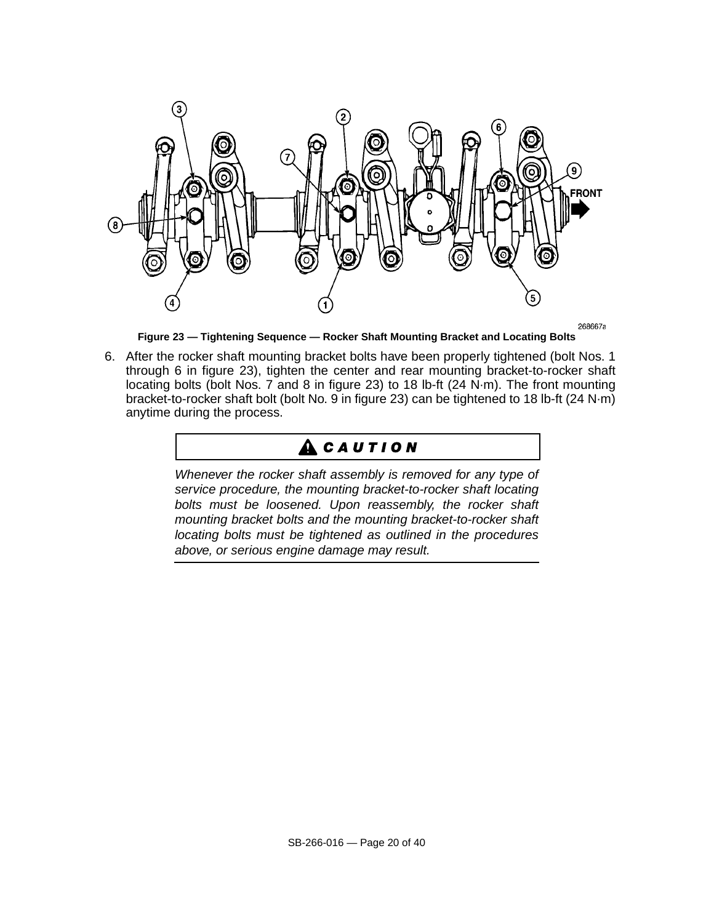

**Figure 23 — Tightening Sequence — Rocker Shaft Mounting Bracket and Locating Bolts**

6. After the rocker shaft mounting bracket bolts have been properly tightened (bolt Nos. 1 through 6 in figure 23), tighten the center and rear mounting bracket-to-rocker shaft locating bolts (bolt Nos. 7 and 8 in figure 23) to 18 lb-ft (24 N·m). The front mounting bracket-to-rocker shaft bolt (bolt No. 9 in figure 23) can be tightened to 18 lb-ft (24 N·m) anytime during the process.

# **A** CAUTION

Whenever the rocker shaft assembly is removed for any type of service procedure, the mounting bracket-to-rocker shaft locating bolts must be loosened. Upon reassembly, the rocker shaft mounting bracket bolts and the mounting bracket-to-rocker shaft locating bolts must be tightened as outlined in the procedures above, or serious engine damage may result.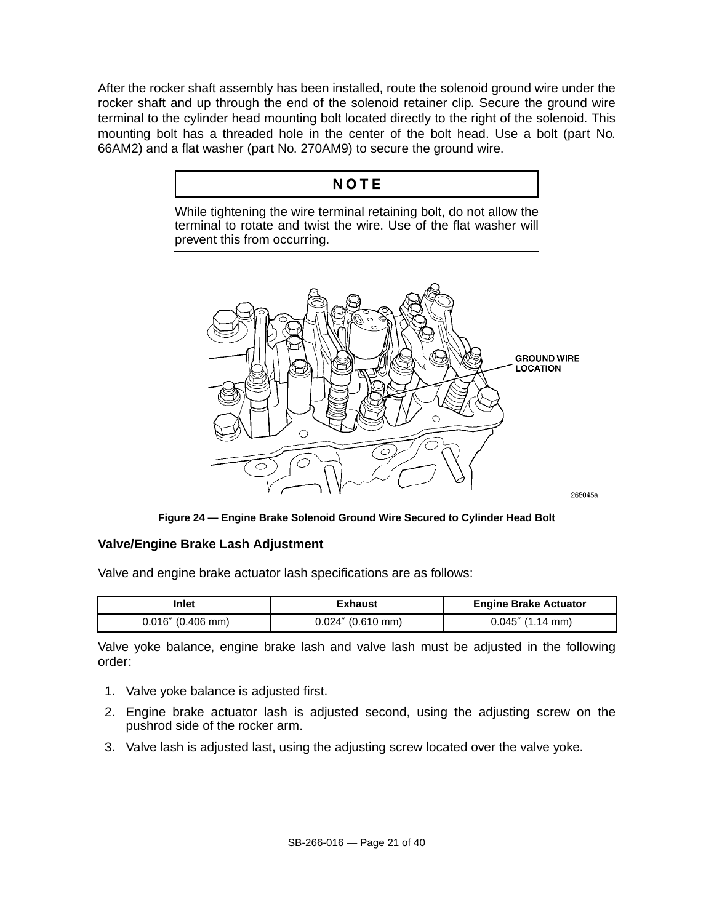After the rocker shaft assembly has been installed, route the solenoid ground wire under the rocker shaft and up through the end of the solenoid retainer clip. Secure the ground wire terminal to the cylinder head mounting bolt located directly to the right of the solenoid. This mounting bolt has a threaded hole in the center of the bolt head. Use a bolt (part No. 66AM2) and a flat washer (part No. 270AM9) to secure the ground wire.

## NOTE

While tightening the wire terminal retaining bolt, do not allow the terminal to rotate and twist the wire. Use of the flat washer will prevent this from occurring.



**Figure 24 — Engine Brake Solenoid Ground Wire Secured to Cylinder Head Bolt**

### **Valve/Engine Brake Lash Adjustment**

Valve and engine brake actuator lash specifications are as follows:

| Inlet                | Exhaust              | <b>Engine Brake Actuator</b> |
|----------------------|----------------------|------------------------------|
| $0.016''$ (0.406 mm) | $0.024''$ (0.610 mm) | $0.045''$ (1.14 mm)          |

Valve yoke balance, engine brake lash and valve lash must be adjusted in the following order:

- 1. Valve yoke balance is adjusted first.
- 2. Engine brake actuator lash is adjusted second, using the adjusting screw on the pushrod side of the rocker arm.
- 3. Valve lash is adjusted last, using the adjusting screw located over the valve yoke.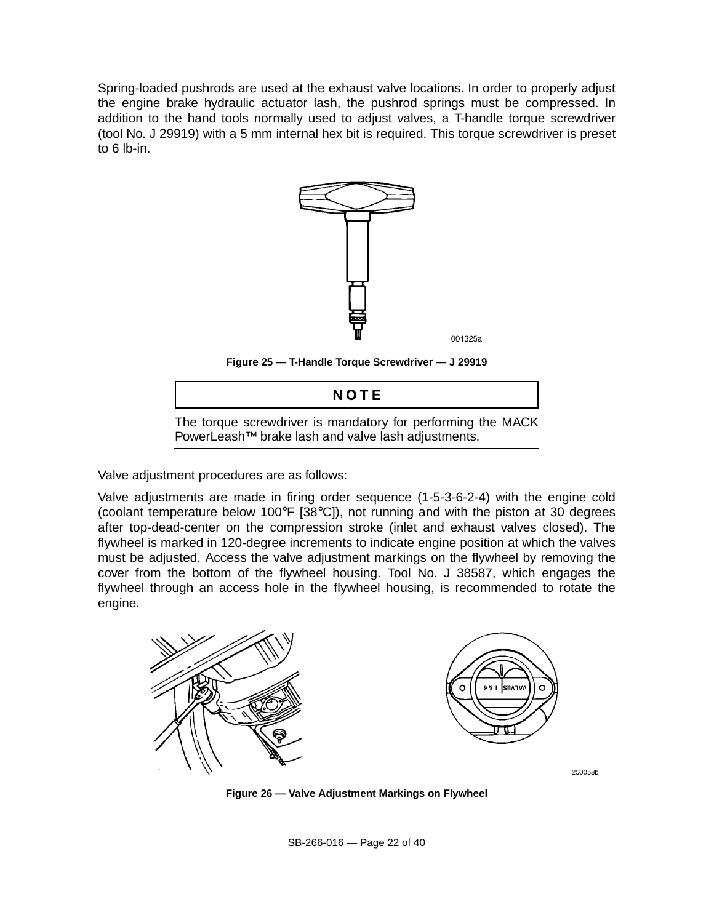Spring-loaded pushrods are used at the exhaust valve locations. In order to properly adjust the engine brake hydraulic actuator lash, the pushrod springs must be compressed. In addition to the hand tools normally used to adjust valves, a T-handle torque screwdriver (tool No. J 29919) with a 5 mm internal hex bit is required. This torque screwdriver is preset to 6 lb-in.



**Figure 25 — T-Handle Torque Screwdriver — J 29919**



Valve adjustment procedures are as follows:

Valve adjustments are made in firing order sequence (1-5-3-6-2-4) with the engine cold (coolant temperature below 100°F [38°C]), not running and with the piston at 30 degrees after top-dead-center on the compression stroke (inlet and exhaust valves closed). The flywheel is marked in 120-degree increments to indicate engine position at which the valves must be adjusted. Access the valve adjustment markings on the flywheel by removing the cover from the bottom of the flywheel housing. Tool No. J 38587, which engages the flywheel through an access hole in the flywheel housing, is recommended to rotate the engine.



**Figure 26 — Valve Adjustment Markings on Flywheel**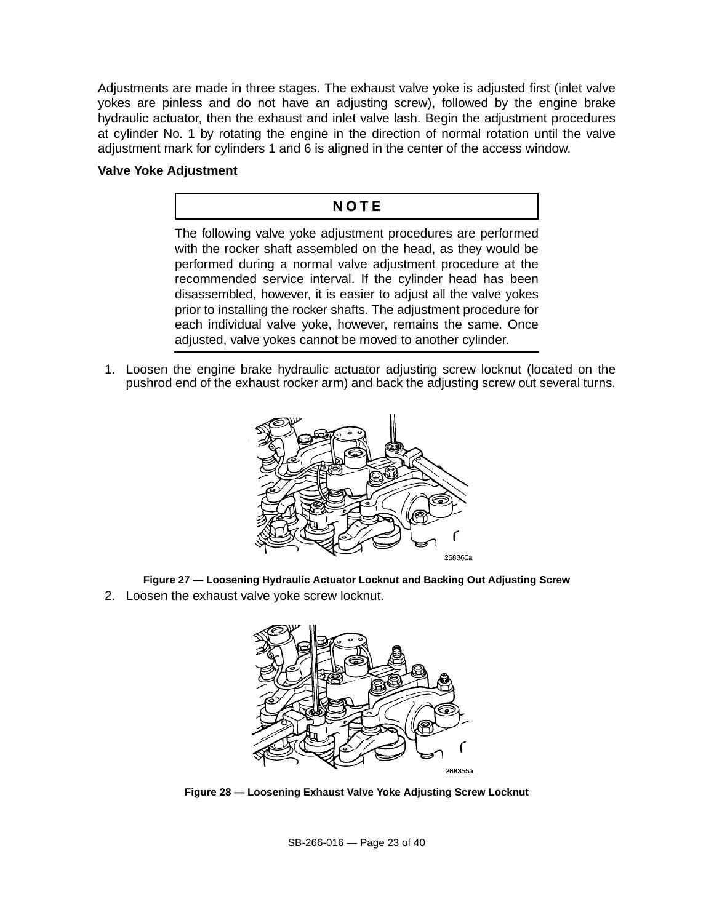Adjustments are made in three stages. The exhaust valve yoke is adjusted first (inlet valve yokes are pinless and do not have an adjusting screw), followed by the engine brake hydraulic actuator, then the exhaust and inlet valve lash. Begin the adjustment procedures at cylinder No. 1 by rotating the engine in the direction of normal rotation until the valve adjustment mark for cylinders 1 and 6 is aligned in the center of the access window.

#### **Valve Yoke Adjustment**

### NOTE

The following valve yoke adjustment procedures are performed with the rocker shaft assembled on the head, as they would be performed during a normal valve adjustment procedure at the recommended service interval. If the cylinder head has been disassembled, however, it is easier to adjust all the valve yokes prior to installing the rocker shafts. The adjustment procedure for each individual valve yoke, however, remains the same. Once adjusted, valve yokes cannot be moved to another cylinder.

1. Loosen the engine brake hydraulic actuator adjusting screw locknut (located on the pushrod end of the exhaust rocker arm) and back the adjusting screw out several turns.



**Figure 27 — Loosening Hydraulic Actuator Locknut and Backing Out Adjusting Screw**

2. Loosen the exhaust valve yoke screw locknut.



**Figure 28 — Loosening Exhaust Valve Yoke Adjusting Screw Locknut**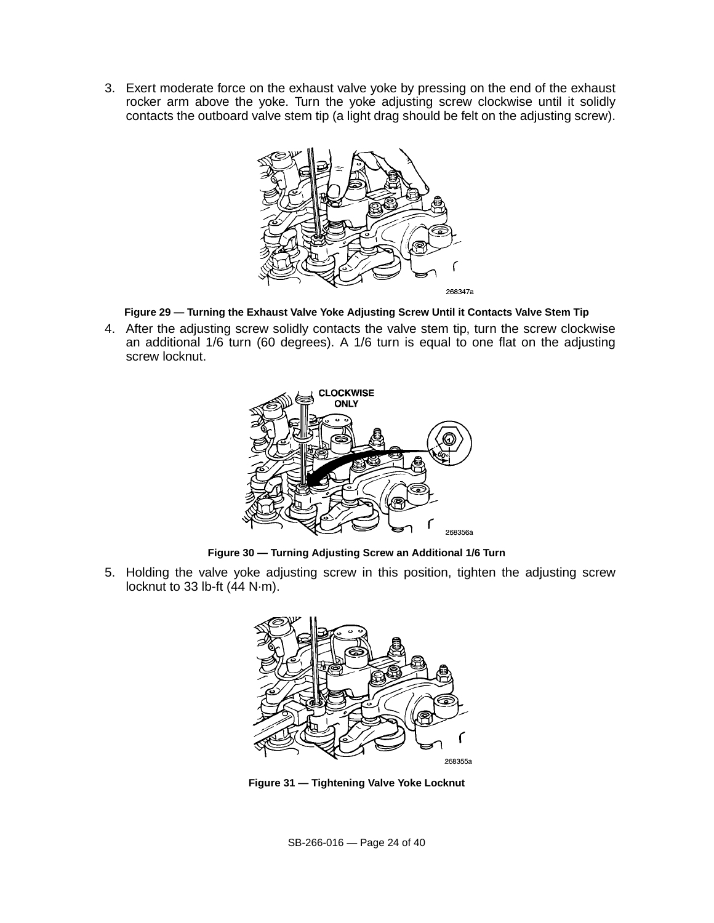3. Exert moderate force on the exhaust valve yoke by pressing on the end of the exhaust rocker arm above the yoke. Turn the yoke adjusting screw clockwise until it solidly contacts the outboard valve stem tip (a light drag should be felt on the adjusting screw).



**Figure 29 — Turning the Exhaust Valve Yoke Adjusting Screw Until it Contacts Valve Stem Tip**

4. After the adjusting screw solidly contacts the valve stem tip, turn the screw clockwise an additional 1/6 turn (60 degrees). A 1/6 turn is equal to one flat on the adjusting screw locknut.



**Figure 30 — Turning Adjusting Screw an Additional 1/6 Turn**

5. Holding the valve yoke adjusting screw in this position, tighten the adjusting screw locknut to 33 lb-ft (44 N·m).



**Figure 31 — Tightening Valve Yoke Locknut**

SB-266-016 — Page 24 of 40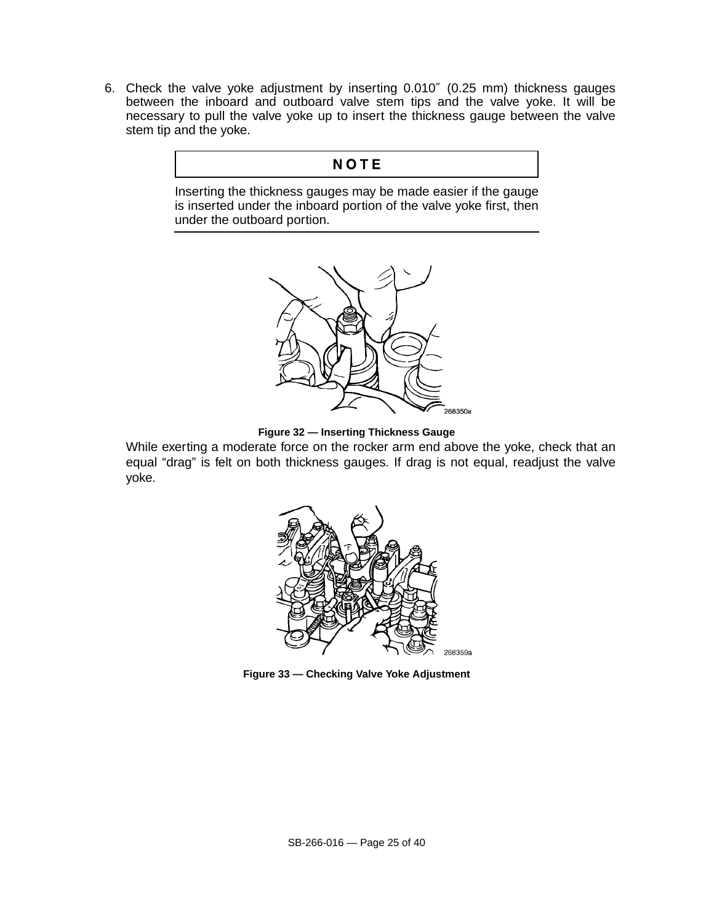6. Check the valve yoke adjustment by inserting 0.010″ (0.25 mm) thickness gauges between the inboard and outboard valve stem tips and the valve yoke. It will be necessary to pull the valve yoke up to insert the thickness gauge between the valve stem tip and the yoke.

### **NOTE**

Inserting the thickness gauges may be made easier if the gauge is inserted under the inboard portion of the valve yoke first, then under the outboard portion.





While exerting a moderate force on the rocker arm end above the yoke, check that an equal "drag" is felt on both thickness gauges. If drag is not equal, readjust the valve yoke.



**Figure 33 — Checking Valve Yoke Adjustment**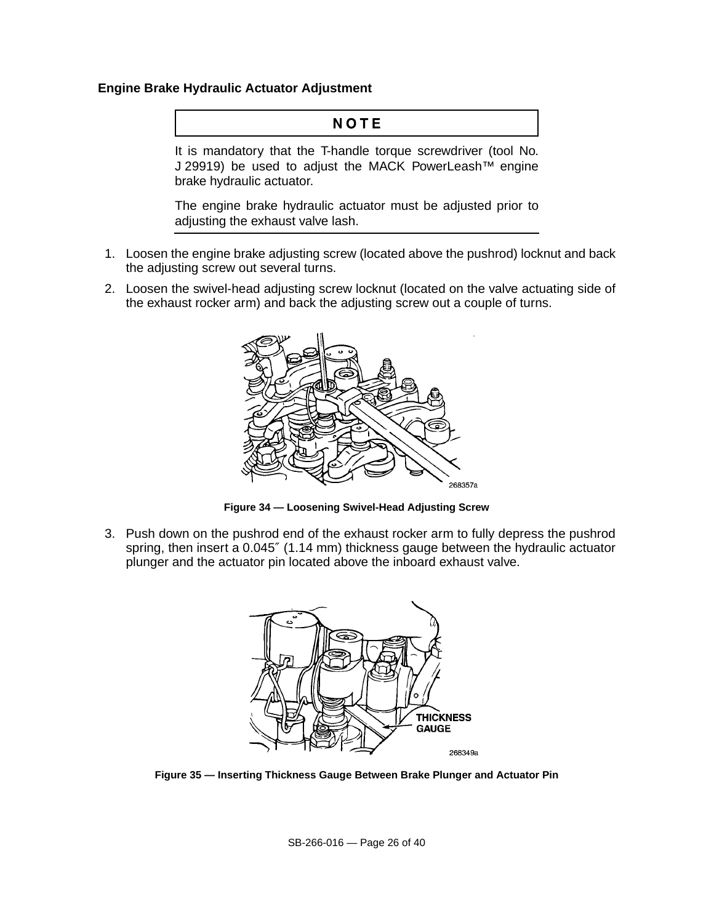#### **Engine Brake Hydraulic Actuator Adjustment**

## NOTE

It is mandatory that the T-handle torque screwdriver (tool No. J 29919) be used to adjust the MACK PowerLeash™ engine brake hydraulic actuator.

The engine brake hydraulic actuator must be adjusted prior to adjusting the exhaust valve lash.

- 1. Loosen the engine brake adjusting screw (located above the pushrod) locknut and back the adjusting screw out several turns.
- 2. Loosen the swivel-head adjusting screw locknut (located on the valve actuating side of the exhaust rocker arm) and back the adjusting screw out a couple of turns.



**Figure 34 — Loosening Swivel-Head Adjusting Screw**

3. Push down on the pushrod end of the exhaust rocker arm to fully depress the pushrod spring, then insert a 0.045" (1.14 mm) thickness gauge between the hydraulic actuator plunger and the actuator pin located above the inboard exhaust valve.



**Figure 35 — Inserting Thickness Gauge Between Brake Plunger and Actuator Pin**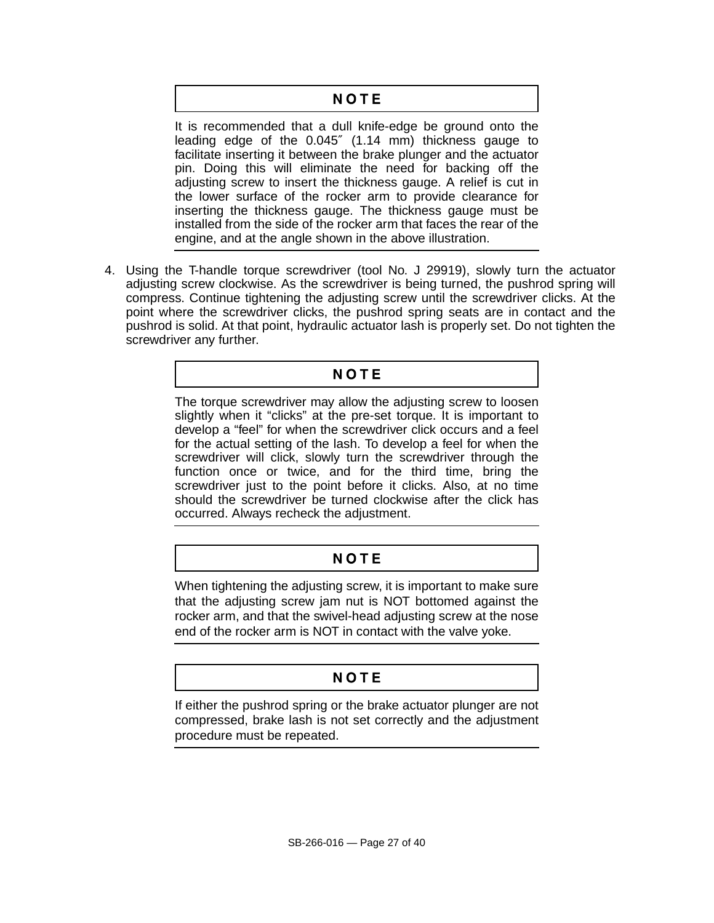## NOTE

It is recommended that a dull knife-edge be ground onto the leading edge of the 0.045″ (1.14 mm) thickness gauge to facilitate inserting it between the brake plunger and the actuator pin. Doing this will eliminate the need for backing off the adjusting screw to insert the thickness gauge. A relief is cut in the lower surface of the rocker arm to provide clearance for inserting the thickness gauge. The thickness gauge must be installed from the side of the rocker arm that faces the rear of the engine, and at the angle shown in the above illustration.

4. Using the T-handle torque screwdriver (tool No. J 29919), slowly turn the actuator adjusting screw clockwise. As the screwdriver is being turned, the pushrod spring will compress. Continue tightening the adjusting screw until the screwdriver clicks. At the point where the screwdriver clicks, the pushrod spring seats are in contact and the pushrod is solid. At that point, hydraulic actuator lash is properly set. Do not tighten the screwdriver any further.

## NOTE

The torque screwdriver may allow the adjusting screw to loosen slightly when it "clicks" at the pre-set torque. It is important to develop a "feel" for when the screwdriver click occurs and a feel for the actual setting of the lash. To develop a feel for when the screwdriver will click, slowly turn the screwdriver through the function once or twice, and for the third time, bring the screwdriver just to the point before it clicks. Also, at no time should the screwdriver be turned clockwise after the click has occurred. Always recheck the adjustment.

# NOTE

When tightening the adjusting screw, it is important to make sure that the adjusting screw jam nut is NOT bottomed against the rocker arm, and that the swivel-head adjusting screw at the nose end of the rocker arm is NOT in contact with the valve yoke.

# NOTE

If either the pushrod spring or the brake actuator plunger are not compressed, brake lash is not set correctly and the adjustment procedure must be repeated.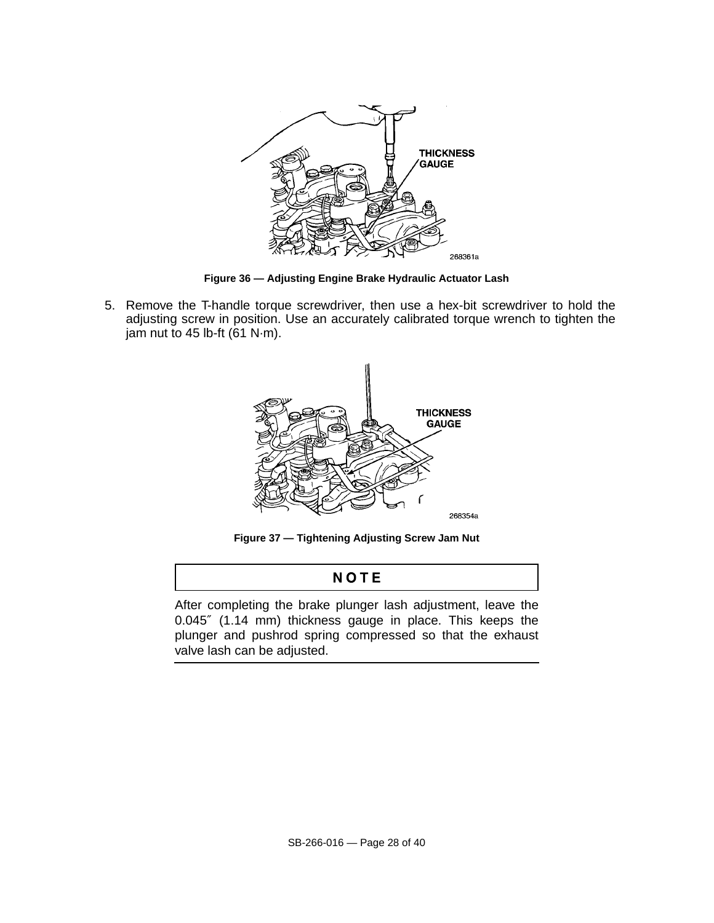

**Figure 36 — Adjusting Engine Brake Hydraulic Actuator Lash**

5. Remove the T-handle torque screwdriver, then use a hex-bit screwdriver to hold the adjusting screw in position. Use an accurately calibrated torque wrench to tighten the jam nut to 45 lb-ft  $(61 N·m)$ .



**Figure 37 — Tightening Adjusting Screw Jam Nut**

## NOTE

After completing the brake plunger lash adjustment, leave the 0.045″ (1.14 mm) thickness gauge in place. This keeps the plunger and pushrod spring compressed so that the exhaust valve lash can be adjusted.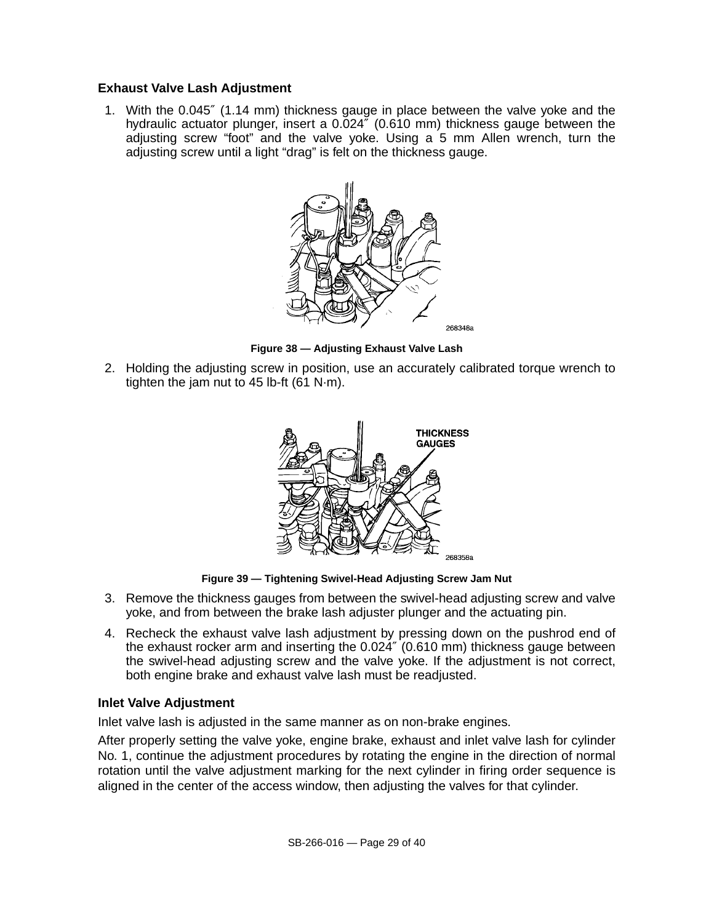### **Exhaust Valve Lash Adjustment**

1. With the 0.045″ (1.14 mm) thickness gauge in place between the valve yoke and the hydraulic actuator plunger, insert a 0.024″ (0.610 mm) thickness gauge between the adjusting screw "foot" and the valve yoke. Using a 5 mm Allen wrench, turn the adjusting screw until a light "drag" is felt on the thickness gauge.



**Figure 38 — Adjusting Exhaust Valve Lash**

2. Holding the adjusting screw in position, use an accurately calibrated torque wrench to tighten the jam nut to 45 lb-ft (61 N·m).



**Figure 39 — Tightening Swivel-Head Adjusting Screw Jam Nut**

- 3. Remove the thickness gauges from between the swivel-head adjusting screw and valve yoke, and from between the brake lash adjuster plunger and the actuating pin.
- 4. Recheck the exhaust valve lash adjustment by pressing down on the pushrod end of the exhaust rocker arm and inserting the 0.024″ (0.610 mm) thickness gauge between the swivel-head adjusting screw and the valve yoke. If the adjustment is not correct, both engine brake and exhaust valve lash must be readjusted.

### **Inlet Valve Adjustment**

Inlet valve lash is adjusted in the same manner as on non-brake engines.

After properly setting the valve yoke, engine brake, exhaust and inlet valve lash for cylinder No. 1, continue the adjustment procedures by rotating the engine in the direction of normal rotation until the valve adjustment marking for the next cylinder in firing order sequence is aligned in the center of the access window, then adjusting the valves for that cylinder.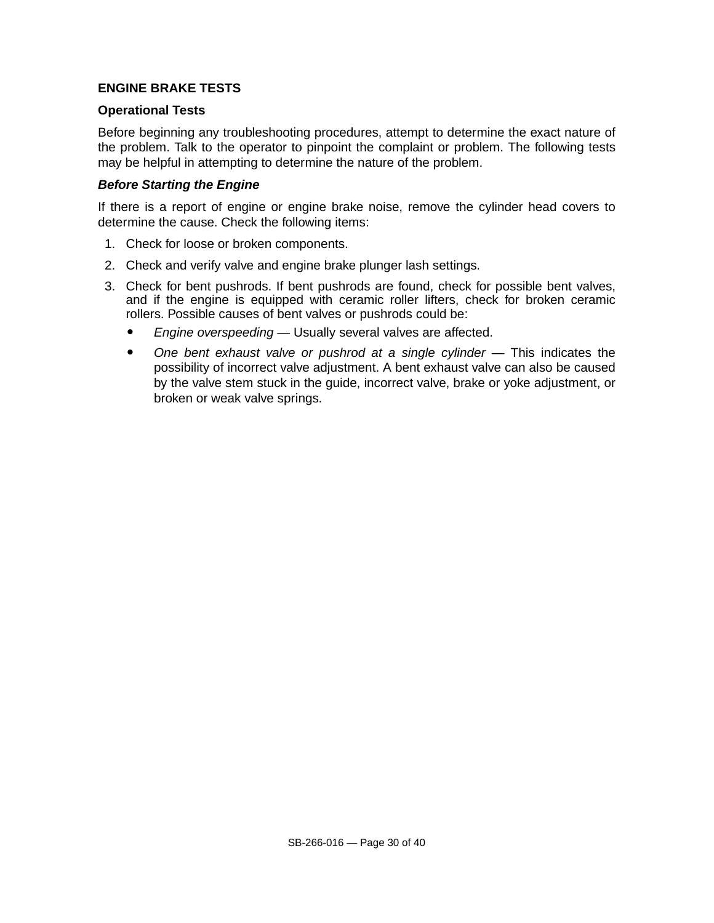### **ENGINE BRAKE TESTS**

### **Operational Tests**

Before beginning any troubleshooting procedures, attempt to determine the exact nature of the problem. Talk to the operator to pinpoint the complaint or problem. The following tests may be helpful in attempting to determine the nature of the problem.

### **Before Starting the Engine**

If there is a report of engine or engine brake noise, remove the cylinder head covers to determine the cause. Check the following items:

- 1. Check for loose or broken components.
- 2. Check and verify valve and engine brake plunger lash settings.
- 3. Check for bent pushrods. If bent pushrods are found, check for possible bent valves, and if the engine is equipped with ceramic roller lifters, check for broken ceramic rollers. Possible causes of bent valves or pushrods could be:
	- Engine overspeeding Usually several valves are affected.
	- One bent exhaust valve or pushrod at a single cylinder This indicates the possibility of incorrect valve adjustment. A bent exhaust valve can also be caused by the valve stem stuck in the guide, incorrect valve, brake or yoke adjustment, or broken or weak valve springs.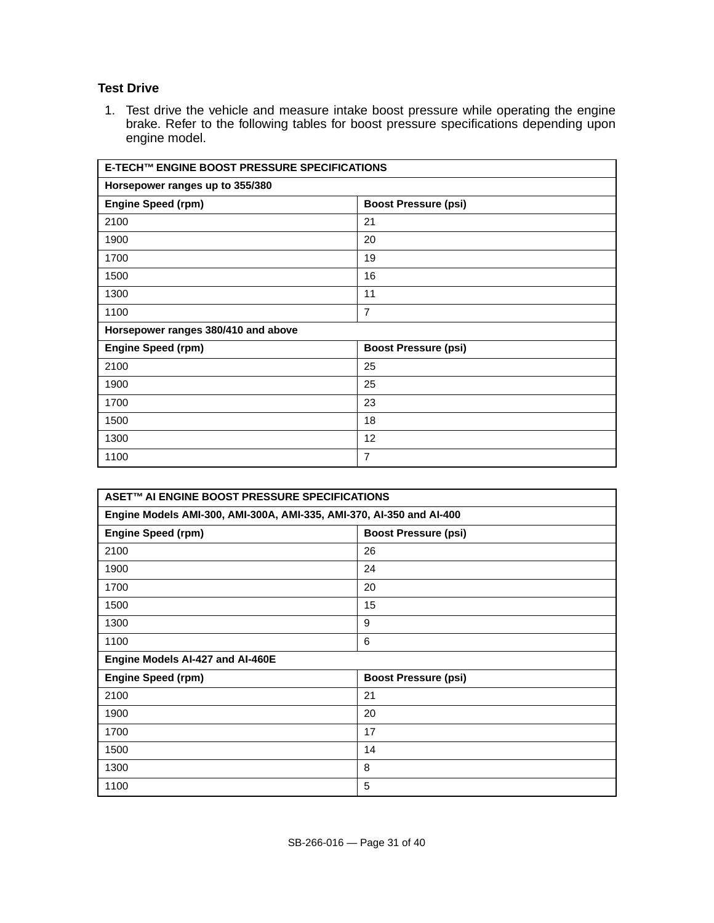### **Test Drive**

1. Test drive the vehicle and measure intake boost pressure while operating the engine brake. Refer to the following tables for boost pressure specifications depending upon engine model.

| E-TECH™ ENGINE BOOST PRESSURE SPECIFICATIONS |                             |  |  |
|----------------------------------------------|-----------------------------|--|--|
| Horsepower ranges up to 355/380              |                             |  |  |
| <b>Engine Speed (rpm)</b>                    | <b>Boost Pressure (psi)</b> |  |  |
| 2100                                         | 21                          |  |  |
| 1900                                         | 20                          |  |  |
| 1700                                         | 19                          |  |  |
| 1500                                         | 16                          |  |  |
| 1300                                         | 11                          |  |  |
| 1100                                         | $\overline{7}$              |  |  |
| Horsepower ranges 380/410 and above          |                             |  |  |
| <b>Engine Speed (rpm)</b>                    | <b>Boost Pressure (psi)</b> |  |  |
| 2100                                         | 25                          |  |  |
| 1900                                         | 25                          |  |  |
| 1700                                         | 23                          |  |  |
| 1500                                         | 18                          |  |  |
| 1300                                         | 12                          |  |  |
| 1100                                         | $\overline{7}$              |  |  |

| ASET™ AI ENGINE BOOST PRESSURE SPECIFICATIONS                        |                             |  |  |
|----------------------------------------------------------------------|-----------------------------|--|--|
| Engine Models AMI-300, AMI-300A, AMI-335, AMI-370, AI-350 and AI-400 |                             |  |  |
| <b>Engine Speed (rpm)</b>                                            | <b>Boost Pressure (psi)</b> |  |  |
| 2100                                                                 | 26                          |  |  |
| 1900                                                                 | 24                          |  |  |
| 1700                                                                 | 20                          |  |  |
| 1500                                                                 | 15                          |  |  |
| 1300                                                                 | 9                           |  |  |
| 1100                                                                 | 6                           |  |  |
| Engine Models Al-427 and Al-460E                                     |                             |  |  |
| <b>Engine Speed (rpm)</b>                                            | <b>Boost Pressure (psi)</b> |  |  |
| 2100                                                                 | 21                          |  |  |
| 1900                                                                 | 20                          |  |  |
| 1700                                                                 | 17                          |  |  |
| 1500                                                                 | 14                          |  |  |
| 1300                                                                 | 8                           |  |  |
| 1100                                                                 | 5                           |  |  |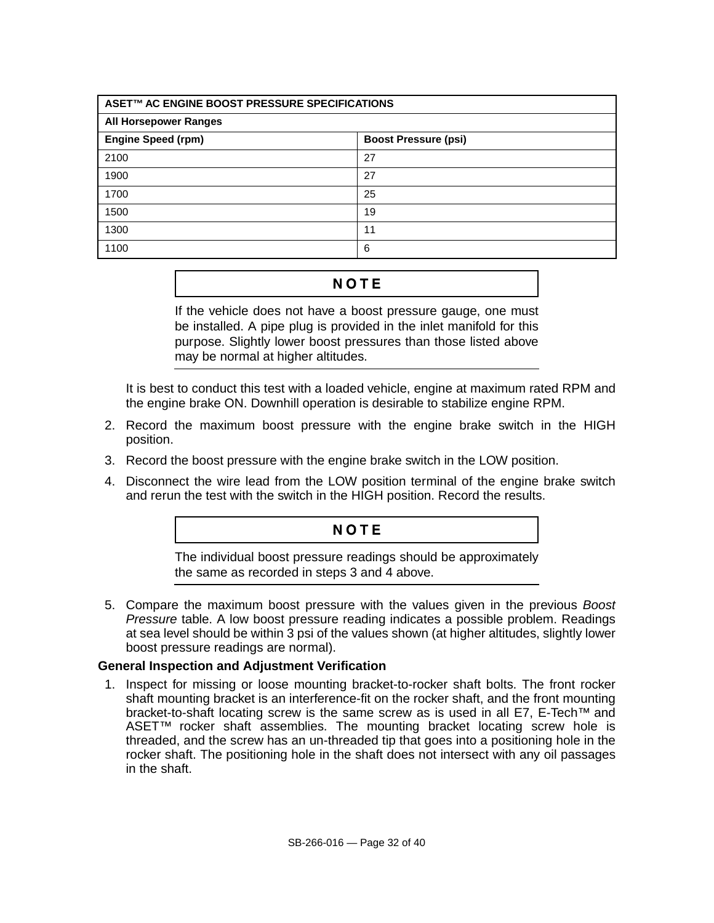| ASET™ AC ENGINE BOOST PRESSURE SPECIFICATIONS            |    |  |  |
|----------------------------------------------------------|----|--|--|
| <b>All Horsepower Ranges</b>                             |    |  |  |
| <b>Engine Speed (rpm)</b><br><b>Boost Pressure (psi)</b> |    |  |  |
| 2100                                                     | 27 |  |  |
| 1900                                                     | 27 |  |  |
| 1700                                                     | 25 |  |  |
| 1500                                                     | 19 |  |  |
| 1300                                                     | 11 |  |  |
| 1100                                                     | 6  |  |  |

## **NOTE**

If the vehicle does not have a boost pressure gauge, one must be installed. A pipe plug is provided in the inlet manifold for this purpose. Slightly lower boost pressures than those listed above may be normal at higher altitudes.

It is best to conduct this test with a loaded vehicle, engine at maximum rated RPM and the engine brake ON. Downhill operation is desirable to stabilize engine RPM.

- 2. Record the maximum boost pressure with the engine brake switch in the HIGH position.
- 3. Record the boost pressure with the engine brake switch in the LOW position.
- 4. Disconnect the wire lead from the LOW position terminal of the engine brake switch and rerun the test with the switch in the HIGH position. Record the results.

### NOTE

The individual boost pressure readings should be approximately the same as recorded in steps 3 and 4 above.

5. Compare the maximum boost pressure with the values given in the previous Boost Pressure table. A low boost pressure reading indicates a possible problem. Readings at sea level should be within 3 psi of the values shown (at higher altitudes, slightly lower boost pressure readings are normal).

### **General Inspection and Adjustment Verification**

1. Inspect for missing or loose mounting bracket-to-rocker shaft bolts. The front rocker shaft mounting bracket is an interference-fit on the rocker shaft, and the front mounting bracket-to-shaft locating screw is the same screw as is used in all E7, E-Tech™ and ASET™ rocker shaft assemblies. The mounting bracket locating screw hole is threaded, and the screw has an un-threaded tip that goes into a positioning hole in the rocker shaft. The positioning hole in the shaft does not intersect with any oil passages in the shaft.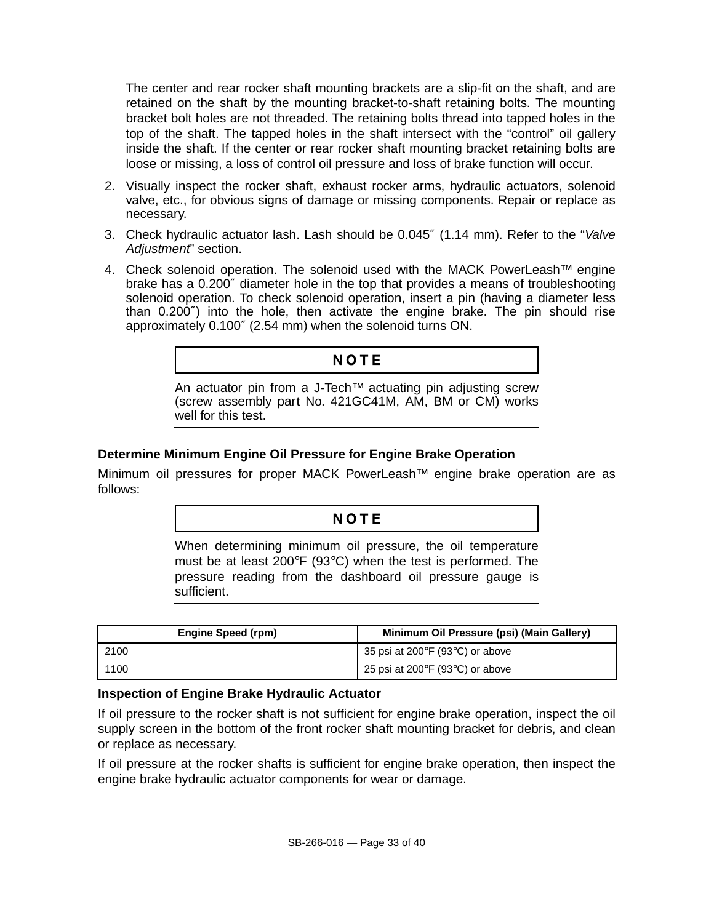The center and rear rocker shaft mounting brackets are a slip-fit on the shaft, and are retained on the shaft by the mounting bracket-to-shaft retaining bolts. The mounting bracket bolt holes are not threaded. The retaining bolts thread into tapped holes in the top of the shaft. The tapped holes in the shaft intersect with the "control" oil gallery inside the shaft. If the center or rear rocker shaft mounting bracket retaining bolts are loose or missing, a loss of control oil pressure and loss of brake function will occur.

- 2. Visually inspect the rocker shaft, exhaust rocker arms, hydraulic actuators, solenoid valve, etc., for obvious signs of damage or missing components. Repair or replace as necessary.
- 3. Check hydraulic actuator lash. Lash should be 0.045″ (1.14 mm). Refer to the "Valve Adjustment" section.
- 4. Check solenoid operation. The solenoid used with the MACK PowerLeash<sup>™</sup> engine brake has a 0.200″ diameter hole in the top that provides a means of troubleshooting solenoid operation. To check solenoid operation, insert a pin (having a diameter less than 0.200″) into the hole, then activate the engine brake. The pin should rise approximately 0.100″ (2.54 mm) when the solenoid turns ON.

### **NOTE**

An actuator pin from a J-Tech<sup>™</sup> actuating pin adjusting screw (screw assembly part No. 421GC41M, AM, BM or CM) works well for this test.

### **Determine Minimum Engine Oil Pressure for Engine Brake Operation**

Minimum oil pressures for proper MACK PowerLeash™ engine brake operation are as follows:

### NOTE

When determining minimum oil pressure, the oil temperature must be at least 200°F (93°C) when the test is performed. The pressure reading from the dashboard oil pressure gauge is sufficient.

| Engine Speed (rpm) | Minimum Oil Pressure (psi) (Main Gallery)           |
|--------------------|-----------------------------------------------------|
| 2100               | 35 psi at 200 $\degree$ F (93 $\degree$ C) or above |
| 1100               | 25 psi at 200 $\degree$ F (93 $\degree$ C) or above |

#### **Inspection of Engine Brake Hydraulic Actuator**

If oil pressure to the rocker shaft is not sufficient for engine brake operation, inspect the oil supply screen in the bottom of the front rocker shaft mounting bracket for debris, and clean or replace as necessary.

If oil pressure at the rocker shafts is sufficient for engine brake operation, then inspect the engine brake hydraulic actuator components for wear or damage.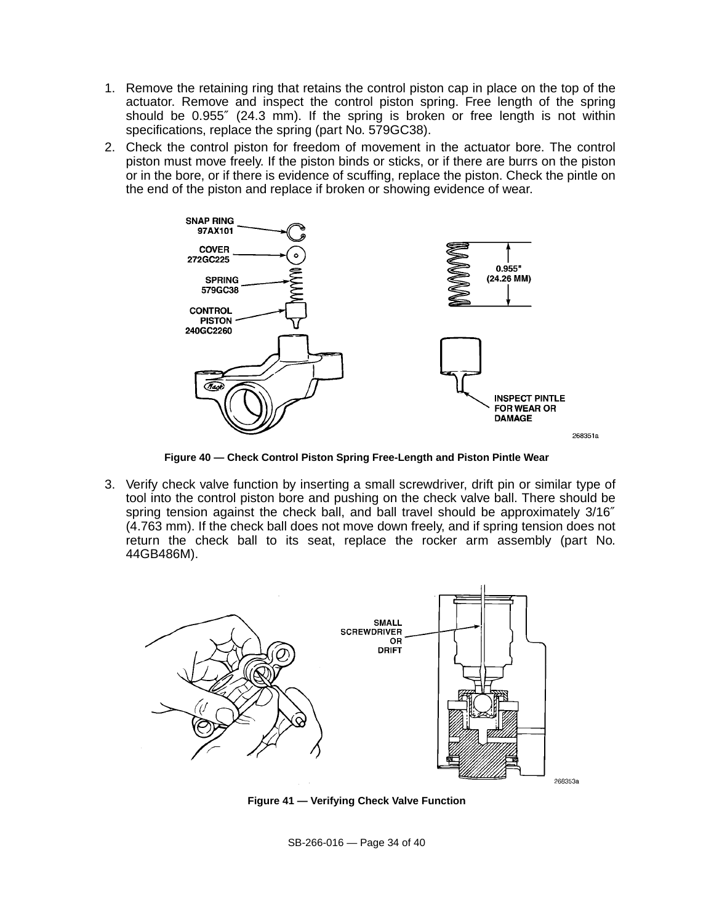- 1. Remove the retaining ring that retains the control piston cap in place on the top of the actuator. Remove and inspect the control piston spring. Free length of the spring should be 0.955″ (24.3 mm). If the spring is broken or free length is not within specifications, replace the spring (part No. 579GC38).
- 2. Check the control piston for freedom of movement in the actuator bore. The control piston must move freely. If the piston binds or sticks, or if there are burrs on the piston or in the bore, or if there is evidence of scuffing, replace the piston. Check the pintle on the end of the piston and replace if broken or showing evidence of wear.



**Figure 40 — Check Control Piston Spring Free-Length and Piston Pintle Wear**

3. Verify check valve function by inserting a small screwdriver, drift pin or similar type of tool into the control piston bore and pushing on the check valve ball. There should be spring tension against the check ball, and ball travel should be approximately 3/16″ (4.763 mm). If the check ball does not move down freely, and if spring tension does not return the check ball to its seat, replace the rocker arm assembly (part No. 44GB486M).



**Figure 41 — Verifying Check Valve Function**

SB-266-016 — Page 34 of 40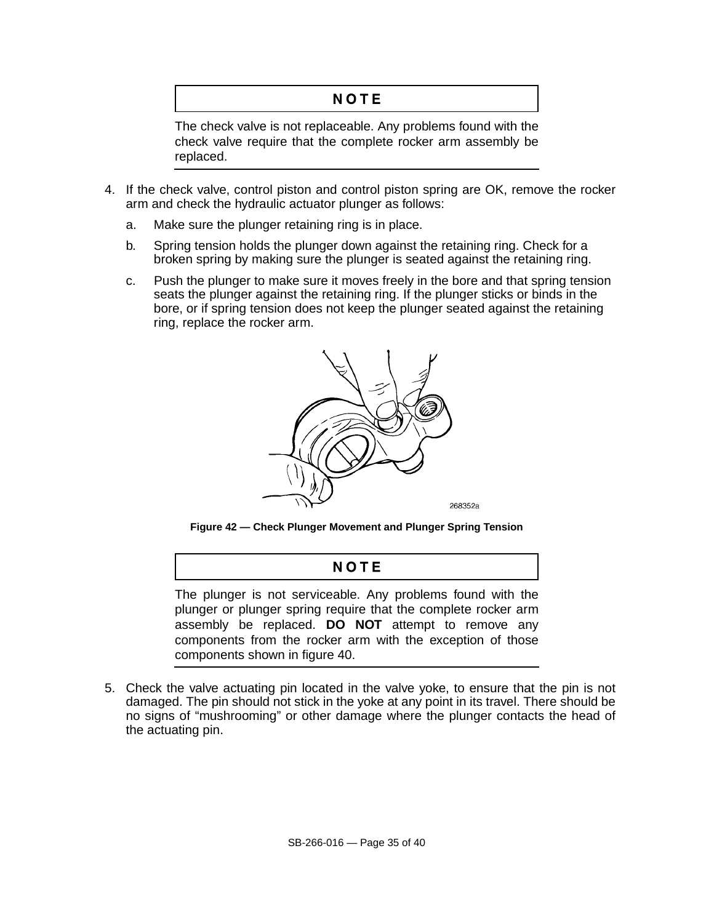# NOTE

The check valve is not replaceable. Any problems found with the check valve require that the complete rocker arm assembly be replaced.

- 4. If the check valve, control piston and control piston spring are OK, remove the rocker arm and check the hydraulic actuator plunger as follows:
	- a. Make sure the plunger retaining ring is in place.
	- b. Spring tension holds the plunger down against the retaining ring. Check for a broken spring by making sure the plunger is seated against the retaining ring.
	- c. Push the plunger to make sure it moves freely in the bore and that spring tension seats the plunger against the retaining ring. If the plunger sticks or binds in the bore, or if spring tension does not keep the plunger seated against the retaining ring, replace the rocker arm.



**Figure 42 — Check Plunger Movement and Plunger Spring Tension**

## NOTE

The plunger is not serviceable. Any problems found with the plunger or plunger spring require that the complete rocker arm assembly be replaced. **DO NOT** attempt to remove any components from the rocker arm with the exception of those components shown in figure 40.

5. Check the valve actuating pin located in the valve yoke, to ensure that the pin is not damaged. The pin should not stick in the yoke at any point in its travel. There should be no signs of "mushrooming" or other damage where the plunger contacts the head of the actuating pin.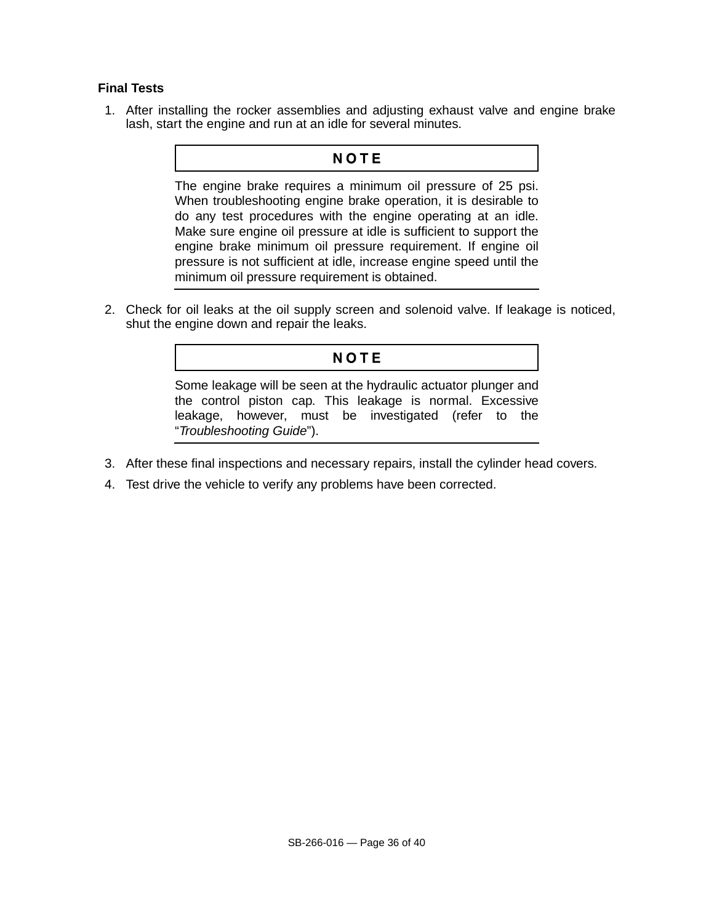### **Final Tests**

1. After installing the rocker assemblies and adjusting exhaust valve and engine brake lash, start the engine and run at an idle for several minutes.

### NOTE

The engine brake requires a minimum oil pressure of 25 psi. When troubleshooting engine brake operation, it is desirable to do any test procedures with the engine operating at an idle. Make sure engine oil pressure at idle is sufficient to support the engine brake minimum oil pressure requirement. If engine oil pressure is not sufficient at idle, increase engine speed until the minimum oil pressure requirement is obtained.

2. Check for oil leaks at the oil supply screen and solenoid valve. If leakage is noticed, shut the engine down and repair the leaks.

### NOTE

Some leakage will be seen at the hydraulic actuator plunger and the control piston cap. This leakage is normal. Excessive leakage, however, must be investigated (refer to the "Troubleshooting Guide").

- 3. After these final inspections and necessary repairs, install the cylinder head covers.
- 4. Test drive the vehicle to verify any problems have been corrected.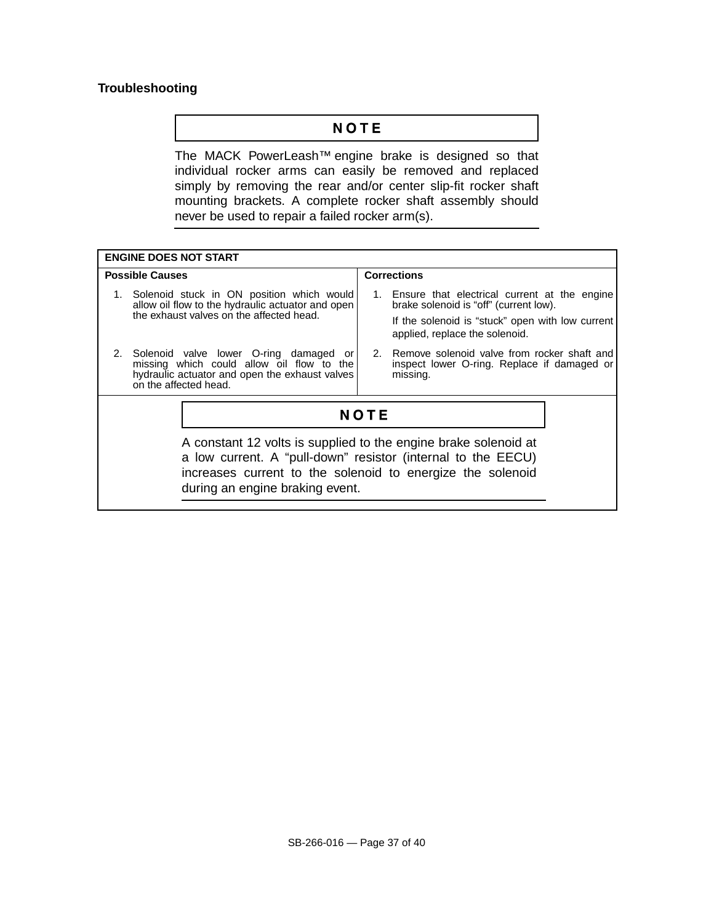### **Troubleshooting**

## NOTE

The MACK PowerLeash™ engine brake is designed so that individual rocker arms can easily be removed and replaced simply by removing the rear and/or center slip-fit rocker shaft mounting brackets. A complete rocker shaft assembly should never be used to repair a failed rocker arm(s).

| <b>ENGINE DOES NOT START</b>                                                                                                                                   |                                                                                                                                                                                               |  |  |  |
|----------------------------------------------------------------------------------------------------------------------------------------------------------------|-----------------------------------------------------------------------------------------------------------------------------------------------------------------------------------------------|--|--|--|
| <b>Possible Causes</b>                                                                                                                                         | <b>Corrections</b>                                                                                                                                                                            |  |  |  |
| 1. Solenoid stuck in ON position which would<br>allow oil flow to the hydraulic actuator and open<br>the exhaust valves on the affected head.                  | 1. Ensure that electrical current at the engine<br>brake solenoid is "off" (current low).<br>If the solenoid is "stuck" open with low current<br>applied, replace the solenoid.               |  |  |  |
| Solenoid valve lower O-ring damaged or<br>missing which could allow oil flow to the<br>hydraulic actuator and open the exhaust valves<br>on the affected head. | 2. Remove solenoid valve from rocker shaft and<br>inspect lower O-ring. Replace if damaged or<br>missing.                                                                                     |  |  |  |
| <b>NOTE</b>                                                                                                                                                    |                                                                                                                                                                                               |  |  |  |
| during an engine braking event.                                                                                                                                | A constant 12 volts is supplied to the engine brake solenoid at<br>a low current. A "pull-down" resistor (internal to the EECU)<br>increases current to the solenoid to energize the solenoid |  |  |  |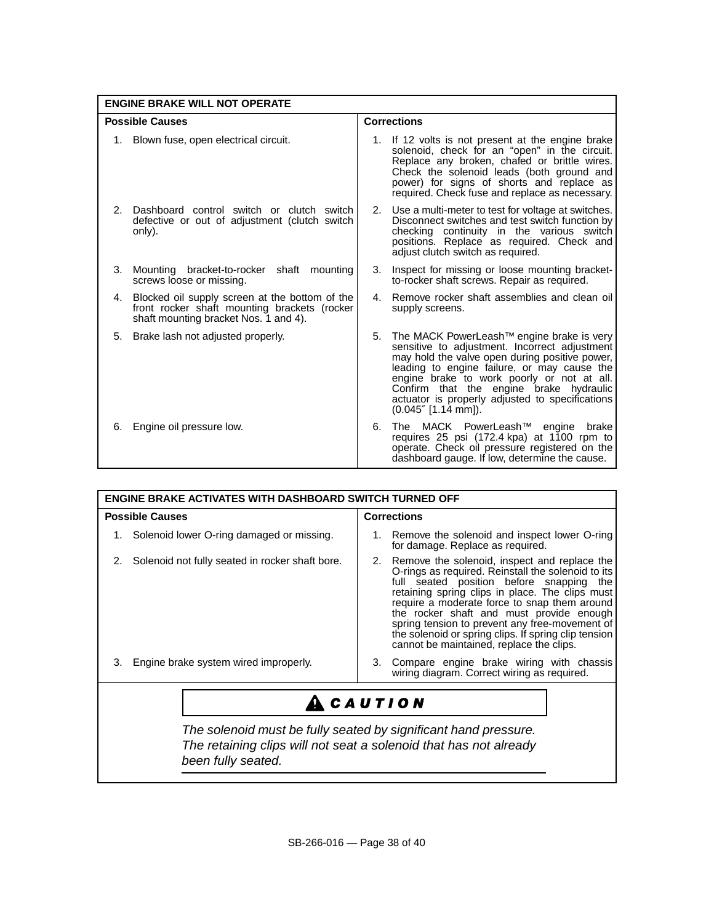| <b>ENGINE BRAKE WILL NOT OPERATE</b> |                                                                                                                                         |    |                                                                                                                                                                                                                                                                                                                                                                               |  |  |
|--------------------------------------|-----------------------------------------------------------------------------------------------------------------------------------------|----|-------------------------------------------------------------------------------------------------------------------------------------------------------------------------------------------------------------------------------------------------------------------------------------------------------------------------------------------------------------------------------|--|--|
| <b>Possible Causes</b>               |                                                                                                                                         |    | <b>Corrections</b>                                                                                                                                                                                                                                                                                                                                                            |  |  |
|                                      | 1. Blown fuse, open electrical circuit.                                                                                                 |    | 1. If 12 volts is not present at the engine brake<br>solenoid, check for an "open" in the circuit.<br>Replace any broken, chafed or brittle wires.<br>Check the solenoid leads (both ground and<br>power) for signs of shorts and replace as<br>required. Check fuse and replace as necessary.                                                                                |  |  |
| 2.                                   | Dashboard control switch or clutch switch<br>defective or out of adjustment (clutch switch<br>only).                                    |    | 2. Use a multi-meter to test for voltage at switches.<br>Disconnect switches and test switch function by<br>checking continuity in the various switch<br>positions. Replace as required. Check and<br>adjust clutch switch as required.                                                                                                                                       |  |  |
| 3.                                   | Mounting bracket-to-rocker shaft mounting<br>screws loose or missing.                                                                   | 3. | Inspect for missing or loose mounting bracket-<br>to-rocker shaft screws. Repair as required.                                                                                                                                                                                                                                                                                 |  |  |
| 4.                                   | Blocked oil supply screen at the bottom of the<br>front rocker shaft mounting brackets (rocker<br>shaft mounting bracket Nos. 1 and 4). |    | 4. Remove rocker shaft assemblies and clean oil<br>supply screens.                                                                                                                                                                                                                                                                                                            |  |  |
| 5.                                   | Brake lash not adjusted properly.                                                                                                       | 5. | The MACK PowerLeash <sup>™</sup> engine brake is very<br>sensitive to adjustment. Incorrect adjustment<br>may hold the valve open during positive power,<br>leading to engine failure, or may cause the<br>engine brake to work poorly or not at all.<br>Confirm that the engine brake hydraulic<br>actuator is properly adjusted to specifications<br>$(0.045''$ [1.14 mm]). |  |  |
| 6.                                   | Engine oil pressure low.                                                                                                                | 6. | The MACK PowerLeash <sup>™</sup> engine<br>brake<br>requires 25 psi (172.4 kpa) at 1100 rpm to<br>operate. Check oil pressure registered on the<br>dashboard gauge. If low, determine the cause.                                                                                                                                                                              |  |  |

| <b>Corrections</b><br><b>Possible Causes</b><br>Solenoid lower O-ring damaged or missing.<br>Remove the solenoid and inspect lower O-ring<br>1.<br>for damage. Replace as required.<br>Solenoid not fully seated in rocker shaft bore.<br>2. Remove the solenoid, inspect and replace the<br>O-rings as required. Reinstall the solenoid to its<br>full seated position before snapping the<br>retaining spring clips in place. The clips must<br>require a moderate force to snap them around<br>the rocker shaft and must provide enough<br>spring tension to prevent any free-movement of<br>the solenoid or spring clips. If spring clip tension<br>cannot be maintained, replace the clips.<br>Engine brake system wired improperly.<br>Compare engine brake wiring with chassis<br>3.<br>З.<br>wiring diagram. Correct wiring as required.<br><b>CAUTION</b><br>The solenoid must be fully seated by significant hand pressure.<br>The retaining clips will not seat a solenoid that has not already<br>been fully seated. | <b>ENGINE BRAKE ACTIVATES WITH DASHBOARD SWITCH TURNED OFF</b> |  |  |  |  |
|----------------------------------------------------------------------------------------------------------------------------------------------------------------------------------------------------------------------------------------------------------------------------------------------------------------------------------------------------------------------------------------------------------------------------------------------------------------------------------------------------------------------------------------------------------------------------------------------------------------------------------------------------------------------------------------------------------------------------------------------------------------------------------------------------------------------------------------------------------------------------------------------------------------------------------------------------------------------------------------------------------------------------------|----------------------------------------------------------------|--|--|--|--|
|                                                                                                                                                                                                                                                                                                                                                                                                                                                                                                                                                                                                                                                                                                                                                                                                                                                                                                                                                                                                                                  |                                                                |  |  |  |  |
|                                                                                                                                                                                                                                                                                                                                                                                                                                                                                                                                                                                                                                                                                                                                                                                                                                                                                                                                                                                                                                  |                                                                |  |  |  |  |
|                                                                                                                                                                                                                                                                                                                                                                                                                                                                                                                                                                                                                                                                                                                                                                                                                                                                                                                                                                                                                                  |                                                                |  |  |  |  |
|                                                                                                                                                                                                                                                                                                                                                                                                                                                                                                                                                                                                                                                                                                                                                                                                                                                                                                                                                                                                                                  |                                                                |  |  |  |  |
|                                                                                                                                                                                                                                                                                                                                                                                                                                                                                                                                                                                                                                                                                                                                                                                                                                                                                                                                                                                                                                  |                                                                |  |  |  |  |
|                                                                                                                                                                                                                                                                                                                                                                                                                                                                                                                                                                                                                                                                                                                                                                                                                                                                                                                                                                                                                                  |                                                                |  |  |  |  |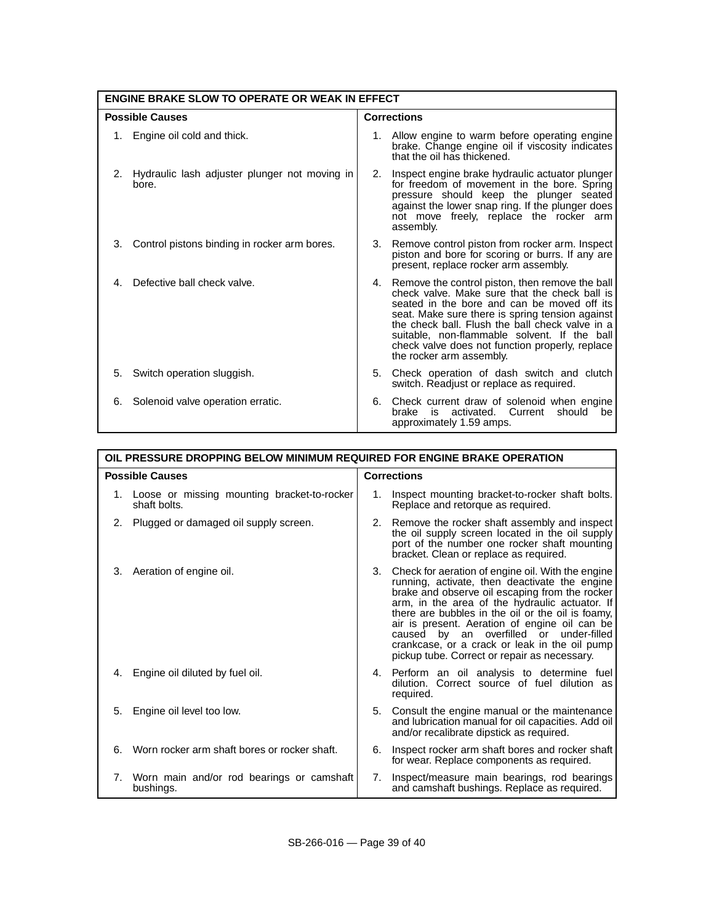| <b>ENGINE BRAKE SLOW TO OPERATE OR WEAK IN EFFECT</b> |                                                           |                    |                                                                                                                                                                                                                                                                                                                                                                                         |  |
|-------------------------------------------------------|-----------------------------------------------------------|--------------------|-----------------------------------------------------------------------------------------------------------------------------------------------------------------------------------------------------------------------------------------------------------------------------------------------------------------------------------------------------------------------------------------|--|
| <b>Possible Causes</b>                                |                                                           | <b>Corrections</b> |                                                                                                                                                                                                                                                                                                                                                                                         |  |
|                                                       | Engine oil cold and thick.                                |                    | 1. Allow engine to warm before operating engine<br>brake. Change engine oil if viscosity indicates<br>that the oil has thickened.                                                                                                                                                                                                                                                       |  |
|                                                       | 2. Hydraulic lash adjuster plunger not moving in<br>bore. | 2.                 | Inspect engine brake hydraulic actuator plunger<br>for freedom of movement in the bore. Spring<br>pressure should keep the plunger seated<br>against the lower snap ring. If the plunger does<br>not move freely, replace the rocker arm<br>assembly.                                                                                                                                   |  |
| 3.                                                    | Control pistons binding in rocker arm bores.              |                    | 3. Remove control piston from rocker arm. Inspect<br>piston and bore for scoring or burrs. If any are<br>present, replace rocker arm assembly.                                                                                                                                                                                                                                          |  |
| 4.                                                    | Defective ball check valve.                               |                    | 4. Remove the control piston, then remove the ball<br>check valve. Make sure that the check ball is<br>seated in the bore and can be moved off its<br>seat. Make sure there is spring tension against<br>the check ball. Flush the ball check valve in a<br>suitable, non-flammable solvent. If the ball<br>check valve does not function properly, replace<br>the rocker arm assembly. |  |
| 5.                                                    | Switch operation sluggish.                                | 5.                 | Check operation of dash switch and clutch<br>switch. Readjust or replace as required.                                                                                                                                                                                                                                                                                                   |  |
| 6.                                                    | Solenoid valve operation erratic.                         |                    | 6. Check current draw of solenoid when engine<br>brake is activated.<br>Current<br>should<br>be<br>approximately 1.59 amps.                                                                                                                                                                                                                                                             |  |

| OIL PRESSURE DROPPING BELOW MINIMUM REQUIRED FOR ENGINE BRAKE OPERATION |                                                                |                    |                                                                                                                                                                                                                                                                                                                                                                                                                                                          |  |
|-------------------------------------------------------------------------|----------------------------------------------------------------|--------------------|----------------------------------------------------------------------------------------------------------------------------------------------------------------------------------------------------------------------------------------------------------------------------------------------------------------------------------------------------------------------------------------------------------------------------------------------------------|--|
| <b>Possible Causes</b>                                                  |                                                                | <b>Corrections</b> |                                                                                                                                                                                                                                                                                                                                                                                                                                                          |  |
|                                                                         | 1. Loose or missing mounting bracket-to-rocker<br>shaft bolts. |                    | Inspect mounting bracket-to-rocker shaft bolts.<br>Replace and retorque as required.                                                                                                                                                                                                                                                                                                                                                                     |  |
| 2.                                                                      | Plugged or damaged oil supply screen.                          | 2.                 | Remove the rocker shaft assembly and inspect<br>the oil supply screen located in the oil supply<br>port of the number one rocker shaft mounting<br>bracket. Clean or replace as required.                                                                                                                                                                                                                                                                |  |
| 3.                                                                      | Aeration of engine oil.                                        | 3.                 | Check for aeration of engine oil. With the engine<br>running, activate, then deactivate the engine<br>brake and observe oil escaping from the rocker<br>arm, in the area of the hydraulic actuator. If<br>there are bubbles in the oil or the oil is foamy,<br>air is present. Aeration of engine oil can be<br>caused by an overfilled or under-filled<br>crankcase, or a crack or leak in the oil pump<br>pickup tube. Correct or repair as necessary. |  |
| 4.                                                                      | Engine oil diluted by fuel oil.                                |                    | 4. Perform an oil analysis to determine fuel<br>dilution. Correct source of fuel dilution as<br>required.                                                                                                                                                                                                                                                                                                                                                |  |
| 5.                                                                      | Engine oil level too low.                                      | 5.                 | Consult the engine manual or the maintenance<br>and lubrication manual for oil capacities. Add oil<br>and/or recalibrate dipstick as required.                                                                                                                                                                                                                                                                                                           |  |
| 6.                                                                      | Worn rocker arm shaft bores or rocker shaft.                   | 6.                 | Inspect rocker arm shaft bores and rocker shaft<br>for wear. Replace components as required.                                                                                                                                                                                                                                                                                                                                                             |  |
|                                                                         | 7. Worn main and/or rod bearings or camshaft<br>bushings.      | 7.                 | Inspect/measure main bearings, rod bearings<br>and camshaft bushings. Replace as required.                                                                                                                                                                                                                                                                                                                                                               |  |